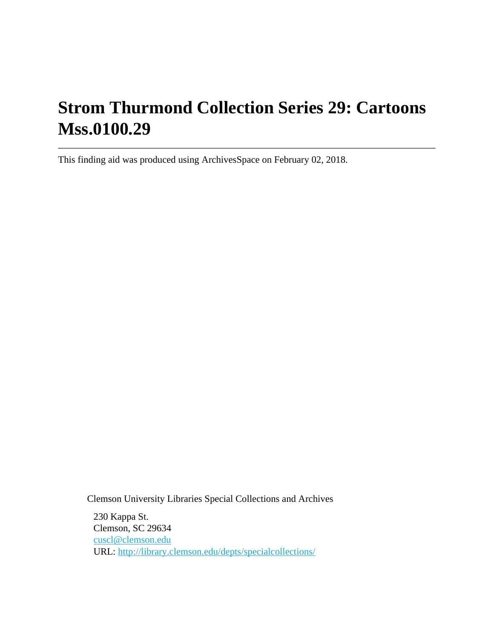# **Strom Thurmond Collection Series 29: Cartoons Mss.0100.29**

This finding aid was produced using ArchivesSpace on February 02, 2018.

Clemson University Libraries Special Collections and Archives

230 Kappa St. Clemson, SC 29634 [cuscl@clemson.edu](mailto:cuscl@clemson.edu) URL:<http://library.clemson.edu/depts/specialcollections/>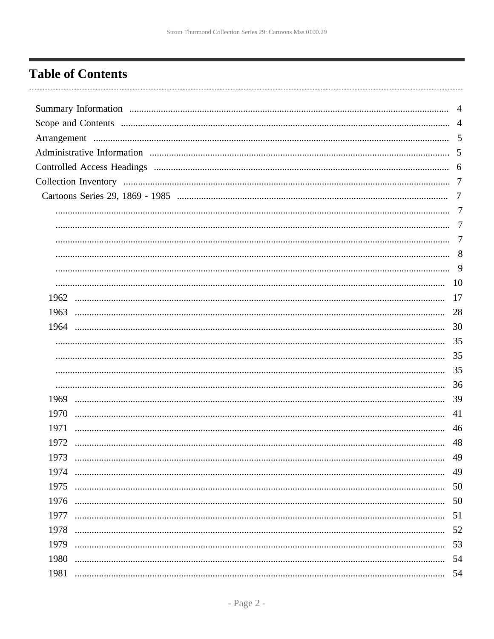## <span id="page-1-0"></span>**Table of Contents**

|      | $\overline{A}$ |
|------|----------------|
|      | - 5            |
|      | .5             |
|      | -6             |
|      | -7             |
|      | 7              |
|      | 7              |
|      | 7              |
|      | 7              |
|      |                |
|      | 9              |
|      | 10             |
| 1962 | 17             |
| 1963 | 28             |
|      | 30             |
|      | 35             |
|      | 35             |
|      | 35             |
|      | 36             |
| 1969 | 39             |
| 1970 | 41             |
| 1971 | 46             |
| 1972 | 48             |
| 1973 | 49             |
|      | 49             |
| 1975 | 50             |
| 1976 | 50             |
| 1977 | 51             |
| 1978 | 52             |
| 1979 | 53             |
| 1980 | 54             |
| 1981 | 54             |
|      |                |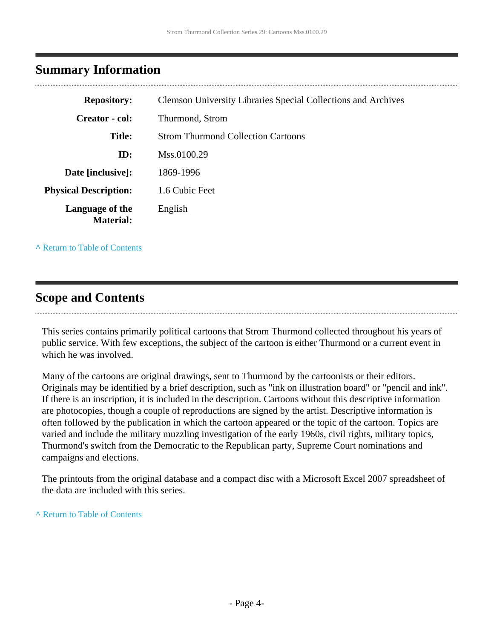## <span id="page-3-0"></span>**Summary Information**

| <b>Repository:</b>                  | <b>Clemson University Libraries Special Collections and Archives</b> |
|-------------------------------------|----------------------------------------------------------------------|
| Creator - col:                      | Thurmond, Strom                                                      |
| <b>Title:</b>                       | <b>Strom Thurmond Collection Cartoons</b>                            |
| ID:                                 | Mss.0100.29                                                          |
| Date [inclusive]:                   | 1869-1996                                                            |
| <b>Physical Description:</b>        | 1.6 Cubic Feet                                                       |
| Language of the<br><b>Material:</b> | English                                                              |

**^** [Return to Table of Contents](#page-1-0)

### <span id="page-3-1"></span>**Scope and Contents**

This series contains primarily political cartoons that Strom Thurmond collected throughout his years of public service. With few exceptions, the subject of the cartoon is either Thurmond or a current event in which he was involved.

Many of the cartoons are original drawings, sent to Thurmond by the cartoonists or their editors. Originals may be identified by a brief description, such as "ink on illustration board" or "pencil and ink". If there is an inscription, it is included in the description. Cartoons without this descriptive information are photocopies, though a couple of reproductions are signed by the artist. Descriptive information is often followed by the publication in which the cartoon appeared or the topic of the cartoon. Topics are varied and include the military muzzling investigation of the early 1960s, civil rights, military topics, Thurmond's switch from the Democratic to the Republican party, Supreme Court nominations and campaigns and elections.

The printouts from the original database and a compact disc with a Microsoft Excel 2007 spreadsheet of the data are included with this series.

**^** [Return to Table of Contents](#page-1-0)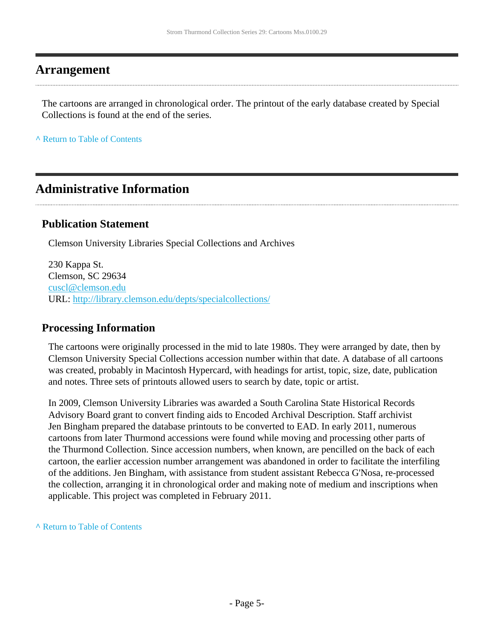### <span id="page-4-0"></span>**Arrangement**

The cartoons are arranged in chronological order. The printout of the early database created by Special Collections is found at the end of the series.

**^** [Return to Table of Contents](#page-1-0)

### <span id="page-4-1"></span>**Administrative Information**

### **Publication Statement**

Clemson University Libraries Special Collections and Archives

230 Kappa St. Clemson, SC 29634 [cuscl@clemson.edu](mailto:cuscl@clemson.edu) URL:<http://library.clemson.edu/depts/specialcollections/>

### **Processing Information**

The cartoons were originally processed in the mid to late 1980s. They were arranged by date, then by Clemson University Special Collections accession number within that date. A database of all cartoons was created, probably in Macintosh Hypercard, with headings for artist, topic, size, date, publication and notes. Three sets of printouts allowed users to search by date, topic or artist.

In 2009, Clemson University Libraries was awarded a South Carolina State Historical Records Advisory Board grant to convert finding aids to Encoded Archival Description. Staff archivist Jen Bingham prepared the database printouts to be converted to EAD. In early 2011, numerous cartoons from later Thurmond accessions were found while moving and processing other parts of the Thurmond Collection. Since accession numbers, when known, are pencilled on the back of each cartoon, the earlier accession number arrangement was abandoned in order to facilitate the interfiling of the additions. Jen Bingham, with assistance from student assistant Rebecca G'Nosa, re-processed the collection, arranging it in chronological order and making note of medium and inscriptions when applicable. This project was completed in February 2011.

**^** [Return to Table of Contents](#page-1-0)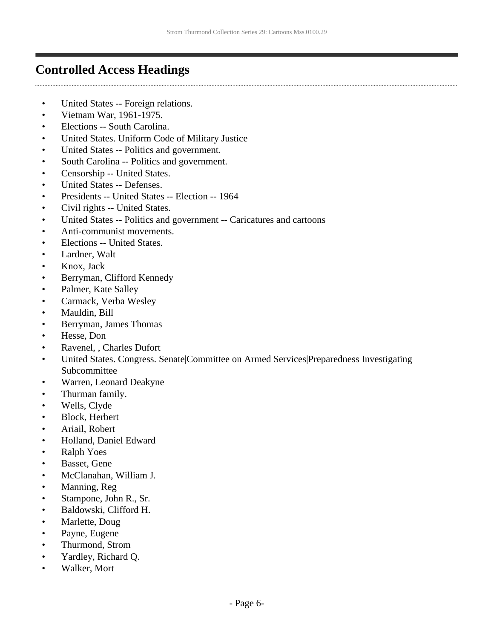## <span id="page-5-0"></span>**Controlled Access Headings**

- United States -- Foreign relations.
- Vietnam War, 1961-1975.
- Elections -- South Carolina.
- United States. Uniform Code of Military Justice
- United States -- Politics and government.
- South Carolina -- Politics and government.
- Censorship -- United States.
- United States -- Defenses.
- Presidents -- United States -- Election -- 1964
- Civil rights -- United States.
- United States -- Politics and government -- Caricatures and cartoons
- Anti-communist movements.
- Elections -- United States.
- Lardner, Walt
- Knox, Jack
- Berryman, Clifford Kennedy
- Palmer, Kate Salley
- Carmack, Verba Wesley
- Mauldin, Bill
- Berryman, James Thomas
- Hesse, Don
- Ravenel, Charles Dufort
- United States. Congress. Senate|Committee on Armed Services|Preparedness Investigating Subcommittee
- Warren, Leonard Deakyne
- Thurman family.
- Wells, Clyde
- Block, Herbert
- Ariail, Robert
- Holland, Daniel Edward
- Ralph Yoes
- Basset, Gene
- McClanahan, William J.
- Manning, Reg
- Stampone, John R., Sr.
- Baldowski, Clifford H.
- Marlette, Doug
- Payne, Eugene
- Thurmond, Strom
- Yardley, Richard Q.
- Walker, Mort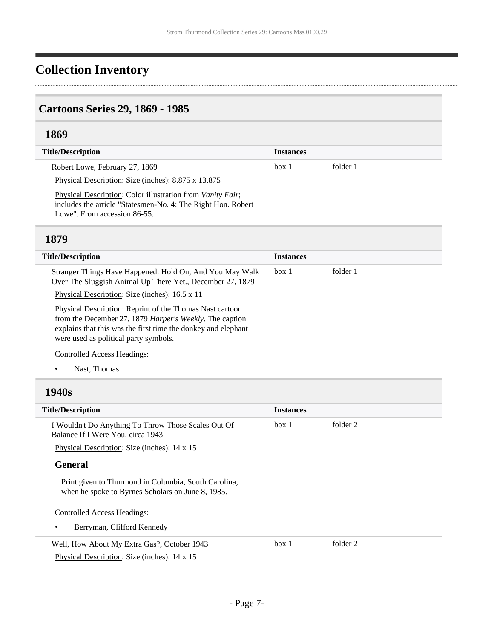## <span id="page-6-0"></span>**Collection Inventory**

### <span id="page-6-1"></span>**Cartoons Series 29, 1869 - 1985**

### **1869**

 $\overline{a}$ 

| <b>Title/Description</b>                                                                                                                                   | <b>Instances</b> |          |
|------------------------------------------------------------------------------------------------------------------------------------------------------------|------------------|----------|
| Robert Lowe, February 27, 1869                                                                                                                             | box 1            | folder 1 |
| Physical Description: Size (inches): 8.875 x 13.875                                                                                                        |                  |          |
| Physical Description: Color illustration from Vanity Fair;<br>includes the article "Statesmen-No. 4: The Right Hon. Robert<br>Lowe". From accession 86-55. |                  |          |
| 1879                                                                                                                                                       |                  |          |
| <b>Title/Description</b>                                                                                                                                   | <b>Instances</b> |          |

Stranger Things Have Happened. Hold On, And You May Walk Over The Sluggish Animal Up There Yet., December 27, 1879 Physical Description: Size (inches): 16.5 x 11 Physical Description: Reprint of the Thomas Nast cartoon from the December 27, 1879 *Harper's Weekly*. The caption explains that this was the first time the donkey and elephant were used as political party symbols. Controlled Access Headings: box 1 folder 1

• Nast, Thomas

### **1940s**

| <b>Title/Description</b>                                                                                  | <b>Instances</b> |          |  |
|-----------------------------------------------------------------------------------------------------------|------------------|----------|--|
| I Wouldn't Do Anything To Throw Those Scales Out Of<br>Balance If I Were You, circa 1943                  | box 1            | folder 2 |  |
| Physical Description: Size (inches): 14 x 15                                                              |                  |          |  |
| <b>General</b>                                                                                            |                  |          |  |
| Print given to Thurmond in Columbia, South Carolina,<br>when he spoke to Byrnes Scholars on June 8, 1985. |                  |          |  |
| <b>Controlled Access Headings:</b>                                                                        |                  |          |  |
| Berryman, Clifford Kennedy                                                                                |                  |          |  |
| Well, How About My Extra Gas?, October 1943                                                               | box 1            | folder 2 |  |
| Physical Description: Size (inches): 14 x 15                                                              |                  |          |  |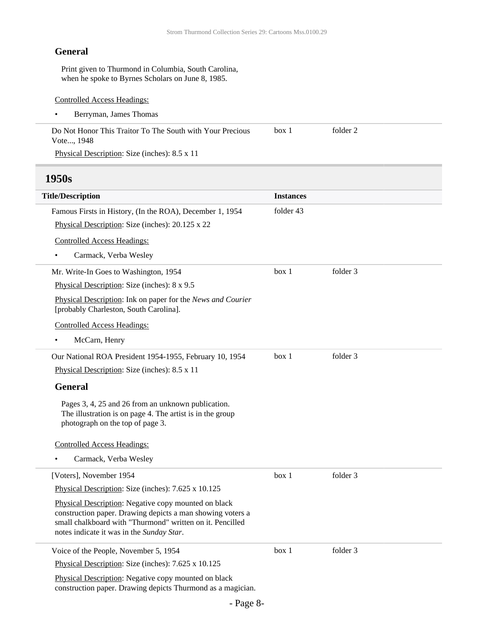#### **General**

Print given to Thurmond in Columbia, South Carolina, when he spoke to Byrnes Scholars on June 8, 1985.

Controlled Access Headings:

• Berryman, James Thomas

Do Not Honor This Traitor To The South with Your Precious Vote..., 1948 box 1 folder 2

Physical Description: Size (inches): 8.5 x 11

### **1950s**

| <b>Title/Description</b>                                                                                                                                                                                                     | <b>Instances</b> |          |
|------------------------------------------------------------------------------------------------------------------------------------------------------------------------------------------------------------------------------|------------------|----------|
| Famous Firsts in History, (In the ROA), December 1, 1954                                                                                                                                                                     | folder 43        |          |
| Physical Description: Size (inches): 20.125 x 22                                                                                                                                                                             |                  |          |
| <b>Controlled Access Headings:</b>                                                                                                                                                                                           |                  |          |
| Carmack, Verba Wesley                                                                                                                                                                                                        |                  |          |
| Mr. Write-In Goes to Washington, 1954                                                                                                                                                                                        | box 1            | folder 3 |
| Physical Description: Size (inches): 8 x 9.5                                                                                                                                                                                 |                  |          |
| Physical Description: Ink on paper for the News and Courier<br>[probably Charleston, South Carolina].                                                                                                                        |                  |          |
| <b>Controlled Access Headings:</b>                                                                                                                                                                                           |                  |          |
| McCarn, Henry                                                                                                                                                                                                                |                  |          |
| Our National ROA President 1954-1955, February 10, 1954                                                                                                                                                                      | box 1            | folder 3 |
| Physical Description: Size (inches): 8.5 x 11                                                                                                                                                                                |                  |          |
| <b>General</b>                                                                                                                                                                                                               |                  |          |
| Pages 3, 4, 25 and 26 from an unknown publication.<br>The illustration is on page 4. The artist is in the group<br>photograph on the top of page 3.                                                                          |                  |          |
| <b>Controlled Access Headings:</b>                                                                                                                                                                                           |                  |          |
| Carmack, Verba Wesley                                                                                                                                                                                                        |                  |          |
| [Voters], November 1954                                                                                                                                                                                                      | box 1            | folder 3 |
| Physical Description: Size (inches): 7.625 x 10.125                                                                                                                                                                          |                  |          |
| Physical Description: Negative copy mounted on black<br>construction paper. Drawing depicts a man showing voters a<br>small chalkboard with "Thurmond" written on it. Pencilled<br>notes indicate it was in the Sunday Star. |                  |          |
| Voice of the People, November 5, 1954                                                                                                                                                                                        | box 1            | folder 3 |
| Physical Description: Size (inches): 7.625 x 10.125                                                                                                                                                                          |                  |          |
| Physical Description: Negative copy mounted on black<br>construction paper. Drawing depicts Thurmond as a magician.                                                                                                          |                  |          |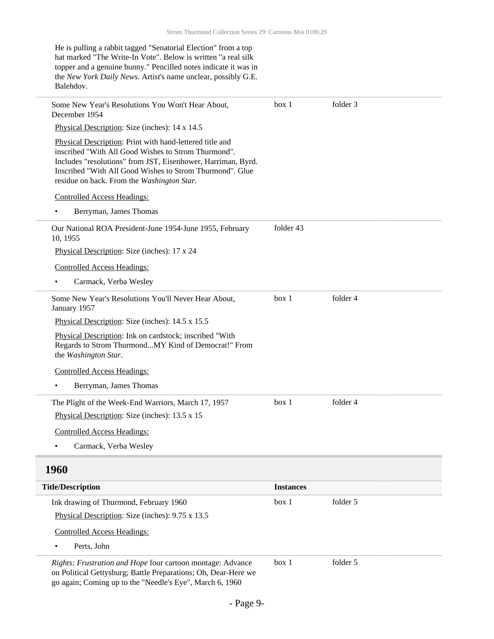| He is pulling a rabbit tagged "Senatorial Election" from a top<br>hat marked "The Write-In Vote". Below is written "a real silk<br>topper and a genuine bunny." Pencilled notes indicate it was in<br>the New York Daily News. Artist's name unclear, possibly G.E.<br>Balehdov.          |                  |          |
|-------------------------------------------------------------------------------------------------------------------------------------------------------------------------------------------------------------------------------------------------------------------------------------------|------------------|----------|
| Some New Year's Resolutions You Won't Hear About,<br>December 1954                                                                                                                                                                                                                        | box 1            | folder 3 |
| Physical Description: Size (inches): 14 x 14.5                                                                                                                                                                                                                                            |                  |          |
| Physical Description: Print with hand-lettered title and<br>inscribed "With All Good Wishes to Strom Thurmond".<br>Includes "resolutions" from JST, Eisenhower, Harriman, Byrd.<br>Inscribed "With All Good Wishes to Strom Thurmond". Glue<br>residue on back. From the Washington Star. |                  |          |
| <b>Controlled Access Headings:</b>                                                                                                                                                                                                                                                        |                  |          |
| Berryman, James Thomas                                                                                                                                                                                                                                                                    |                  |          |
| Our National ROA President-June 1954-June 1955, February<br>10, 1955                                                                                                                                                                                                                      | folder 43        |          |
| Physical Description: Size (inches): 17 x 24                                                                                                                                                                                                                                              |                  |          |
| <b>Controlled Access Headings:</b>                                                                                                                                                                                                                                                        |                  |          |
| Carmack, Verba Wesley                                                                                                                                                                                                                                                                     |                  |          |
| Some New Year's Resolutions You'll Never Hear About,<br>January 1957                                                                                                                                                                                                                      | box 1            | folder 4 |
| Physical Description: Size (inches): 14.5 x 15.5                                                                                                                                                                                                                                          |                  |          |
| Physical Description: Ink on cardstock; inscribed "With<br>Regards to Strom ThurmondMY Kind of Democrat!" From<br>the Washington Star.                                                                                                                                                    |                  |          |
| <b>Controlled Access Headings:</b>                                                                                                                                                                                                                                                        |                  |          |
| Berryman, James Thomas                                                                                                                                                                                                                                                                    |                  |          |
| The Plight of the Week-End Warriors, March 17, 1957                                                                                                                                                                                                                                       | box 1            | folder 4 |
| Physical Description: Size (inches): 13.5 x 15                                                                                                                                                                                                                                            |                  |          |
| <b>Controlled Access Headings:</b>                                                                                                                                                                                                                                                        |                  |          |
| Carmack, Verba Wesley                                                                                                                                                                                                                                                                     |                  |          |
| 1960                                                                                                                                                                                                                                                                                      |                  |          |
| <b>Title/Description</b>                                                                                                                                                                                                                                                                  | <b>Instances</b> |          |
| Ink drawing of Thurmond, February 1960                                                                                                                                                                                                                                                    | box 1            | folder 5 |
| Physical Description: Size (inches): 9.75 x 13.5                                                                                                                                                                                                                                          |                  |          |
| <b>Controlled Access Headings:</b>                                                                                                                                                                                                                                                        |                  |          |
| Perts, John                                                                                                                                                                                                                                                                               |                  |          |
| Rights: Frustration and Hope four cartoon montage: Advance<br>on Political Gettysburg; Battle Preparations; Oh, Dear-Here we<br>go again; Coming up to the "Needle's Eye", March 6, 1960                                                                                                  | box 1            | folder 5 |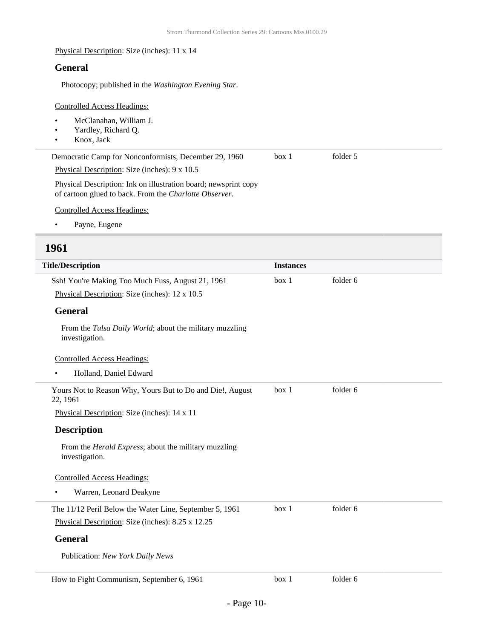#### Physical Description: Size (inches): 11 x 14

#### **General**

Photocopy; published in the *Washington Evening Star*.

#### Controlled Access Headings:

- McClanahan, William J.
- Yardley, Richard Q.
- Knox, Jack

| Democratic Camp for Nonconformists, December 29, 1960           | box 1 | folder 5 |
|-----------------------------------------------------------------|-------|----------|
| <b>Physical Description: Size (inches): 9 x 10.5</b>            |       |          |
| Physical Description: Ink on illustration board; newsprint copy |       |          |
| of cartoon glued to back. From the <i>Charlotte Observer</i> .  |       |          |

Controlled Access Headings:

• Payne, Eugene

### **1961**

| <b>Title/Description</b>                                                       | <b>Instances</b> |          |
|--------------------------------------------------------------------------------|------------------|----------|
| Ssh! You're Making Too Much Fuss, August 21, 1961                              | box 1            | folder 6 |
| Physical Description: Size (inches): 12 x 10.5                                 |                  |          |
| <b>General</b>                                                                 |                  |          |
| From the Tulsa Daily World; about the military muzzling<br>investigation.      |                  |          |
| <b>Controlled Access Headings:</b>                                             |                  |          |
| Holland, Daniel Edward<br>٠                                                    |                  |          |
| Yours Not to Reason Why, Yours But to Do and Die!, August<br>22, 1961          | box 1            | folder 6 |
| Physical Description: Size (inches): 14 x 11                                   |                  |          |
| <b>Description</b>                                                             |                  |          |
| From the <i>Herald Express</i> ; about the military muzzling<br>investigation. |                  |          |
| <b>Controlled Access Headings:</b>                                             |                  |          |
| Warren, Leonard Deakyne                                                        |                  |          |
| The 11/12 Peril Below the Water Line, September 5, 1961                        | box 1            | folder 6 |
| Physical Description: Size (inches): 8.25 x 12.25                              |                  |          |
| <b>General</b>                                                                 |                  |          |
| Publication: New York Daily News                                               |                  |          |
| How to Fight Communism, September 6, 1961                                      | box 1            | folder 6 |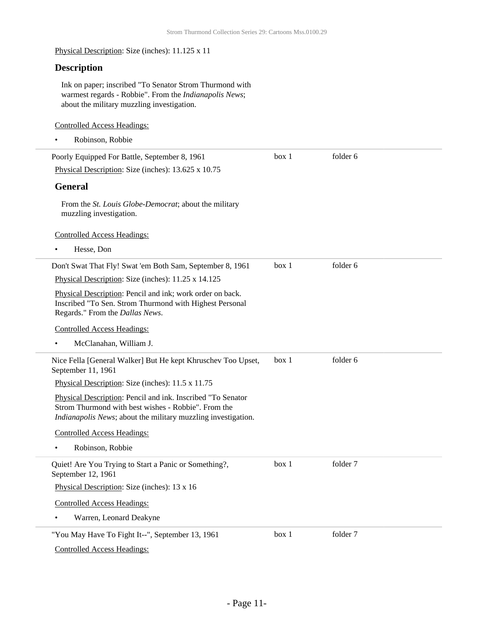Physical Description: Size (inches): 11.125 x 11

#### **Description**

Ink on paper; inscribed "To Senator Strom Thurmond with warmest regards - Robbie". From the *Indianapolis News*; about the military muzzling investigation.

#### Controlled Access Headings:

• Robinson, Robbie

| Poorly Equipped For Battle, September 8, 1961                                                                                                                                       | box 1 | folder 6 |
|-------------------------------------------------------------------------------------------------------------------------------------------------------------------------------------|-------|----------|
| Physical Description: Size (inches): 13.625 x 10.75                                                                                                                                 |       |          |
| <b>General</b>                                                                                                                                                                      |       |          |
| From the St. Louis Globe-Democrat; about the military<br>muzzling investigation.                                                                                                    |       |          |
| <b>Controlled Access Headings:</b>                                                                                                                                                  |       |          |
| Hesse, Don                                                                                                                                                                          |       |          |
| Don't Swat That Fly! Swat 'em Both Sam, September 8, 1961                                                                                                                           | box 1 | folder 6 |
| Physical Description: Size (inches): 11.25 x 14.125                                                                                                                                 |       |          |
| Physical Description: Pencil and ink; work order on back.<br>Inscribed "To Sen. Strom Thurmond with Highest Personal<br>Regards." From the Dallas News.                             |       |          |
| <b>Controlled Access Headings:</b>                                                                                                                                                  |       |          |
| McClanahan, William J.                                                                                                                                                              |       |          |
| Nice Fella [General Walker] But He kept Khruschev Too Upset,<br>September 11, 1961                                                                                                  | box 1 | folder 6 |
| Physical Description: Size (inches): 11.5 x 11.75                                                                                                                                   |       |          |
| Physical Description: Pencil and ink. Inscribed "To Senator<br>Strom Thurmond with best wishes - Robbie". From the<br>Indianapolis News; about the military muzzling investigation. |       |          |
| <b>Controlled Access Headings:</b>                                                                                                                                                  |       |          |
| Robinson, Robbie                                                                                                                                                                    |       |          |
| Quiet! Are You Trying to Start a Panic or Something?,<br>September 12, 1961                                                                                                         | box 1 | folder 7 |
| Physical Description: Size (inches): 13 x 16                                                                                                                                        |       |          |
| <b>Controlled Access Headings:</b>                                                                                                                                                  |       |          |
| Warren, Leonard Deakyne                                                                                                                                                             |       |          |
| "You May Have To Fight It--", September 13, 1961                                                                                                                                    | box 1 | folder 7 |
| <b>Controlled Access Headings:</b>                                                                                                                                                  |       |          |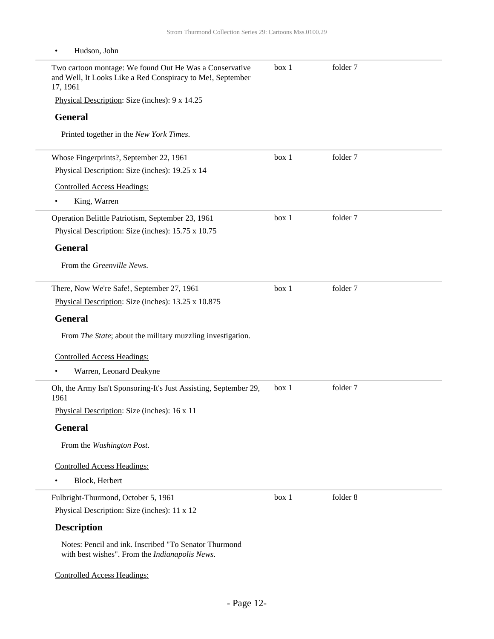| Two cartoon montage: We found Out He Was a Conservative<br>and Well, It Looks Like a Red Conspiracy to Me!, September<br>17, 1961 | box 1 | folder 7 |  |
|-----------------------------------------------------------------------------------------------------------------------------------|-------|----------|--|
| Physical Description: Size (inches): 9 x 14.25                                                                                    |       |          |  |
| <b>General</b>                                                                                                                    |       |          |  |
| Printed together in the New York Times.                                                                                           |       |          |  |
| Whose Fingerprints?, September 22, 1961                                                                                           | box 1 | folder 7 |  |
| Physical Description: Size (inches): 19.25 x 14                                                                                   |       |          |  |
| <b>Controlled Access Headings:</b>                                                                                                |       |          |  |
| King, Warren<br>$\bullet$                                                                                                         |       |          |  |
| Operation Belittle Patriotism, September 23, 1961                                                                                 | box 1 | folder 7 |  |
| Physical Description: Size (inches): 15.75 x 10.75                                                                                |       |          |  |
| <b>General</b>                                                                                                                    |       |          |  |
| From the Greenville News.                                                                                                         |       |          |  |
| There, Now We're Safe!, September 27, 1961                                                                                        | box 1 | folder 7 |  |
| Physical Description: Size (inches): 13.25 x 10.875                                                                               |       |          |  |
| <b>General</b>                                                                                                                    |       |          |  |
| From The State; about the military muzzling investigation.                                                                        |       |          |  |
| <b>Controlled Access Headings:</b>                                                                                                |       |          |  |
| Warren, Leonard Deakyne<br>$\bullet$                                                                                              |       |          |  |
| Oh, the Army Isn't Sponsoring-It's Just Assisting, September 29,<br>1961                                                          | box 1 | folder 7 |  |
| Physical Description: Size (inches): 16 x 11                                                                                      |       |          |  |
| <b>General</b>                                                                                                                    |       |          |  |
| From the Washington Post.                                                                                                         |       |          |  |
| <b>Controlled Access Headings:</b>                                                                                                |       |          |  |
| Block, Herbert<br>٠                                                                                                               |       |          |  |
| Fulbright-Thurmond, October 5, 1961                                                                                               | box 1 | folder 8 |  |
| Physical Description: Size (inches): 11 x 12                                                                                      |       |          |  |
| <b>Description</b>                                                                                                                |       |          |  |
| Notes: Pencil and ink. Inscribed "To Senator Thurmond"                                                                            |       |          |  |

Controlled Access Headings: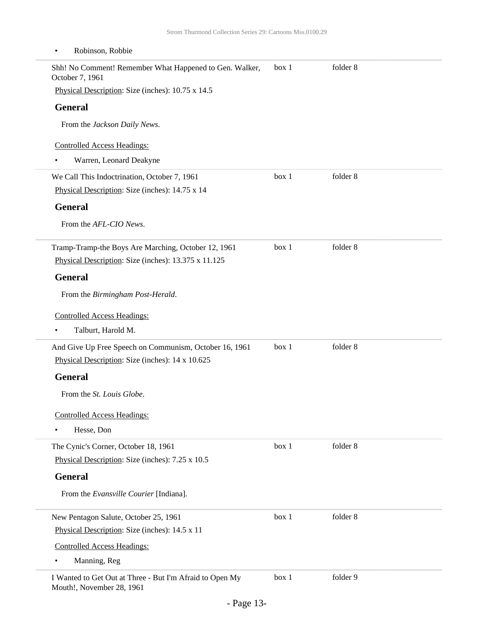| Robinson, Robbie<br>$\bullet$                                                         |       |          |  |
|---------------------------------------------------------------------------------------|-------|----------|--|
| Shh! No Comment! Remember What Happened to Gen. Walker,<br>October 7, 1961            | box 1 | folder 8 |  |
| Physical Description: Size (inches): 10.75 x 14.5                                     |       |          |  |
| <b>General</b>                                                                        |       |          |  |
| From the Jackson Daily News.                                                          |       |          |  |
| <b>Controlled Access Headings:</b>                                                    |       |          |  |
| Warren, Leonard Deakyne                                                               |       |          |  |
| We Call This Indoctrination, October 7, 1961                                          | box 1 | folder 8 |  |
| Physical Description: Size (inches): 14.75 x 14                                       |       |          |  |
| <b>General</b>                                                                        |       |          |  |
| From the AFL-CIO News.                                                                |       |          |  |
| Tramp-Tramp-the Boys Are Marching, October 12, 1961                                   | box 1 | folder 8 |  |
| Physical Description: Size (inches): 13.375 x 11.125                                  |       |          |  |
| <b>General</b>                                                                        |       |          |  |
| From the Birmingham Post-Herald.                                                      |       |          |  |
| <b>Controlled Access Headings:</b>                                                    |       |          |  |
| Talburt, Harold M.<br>$\bullet$                                                       |       |          |  |
| And Give Up Free Speech on Communism, October 16, 1961                                | box 1 | folder 8 |  |
| Physical Description: Size (inches): 14 x 10.625                                      |       |          |  |
| <b>General</b>                                                                        |       |          |  |
| From the St. Louis Globe.                                                             |       |          |  |
| <b>Controlled Access Headings:</b>                                                    |       |          |  |
| Hesse, Don<br>٠                                                                       |       |          |  |
| The Cynic's Corner, October 18, 1961                                                  | box 1 | folder 8 |  |
| Physical Description: Size (inches): 7.25 x 10.5                                      |       |          |  |
| <b>General</b>                                                                        |       |          |  |
| From the Evansville Courier [Indiana].                                                |       |          |  |
| New Pentagon Salute, October 25, 1961                                                 | box 1 | folder 8 |  |
| Physical Description: Size (inches): 14.5 x 11                                        |       |          |  |
| <b>Controlled Access Headings:</b>                                                    |       |          |  |
| Manning, Reg                                                                          |       |          |  |
| I Wanted to Get Out at Three - But I'm Afraid to Open My<br>Mouth!, November 28, 1961 | box 1 | folder 9 |  |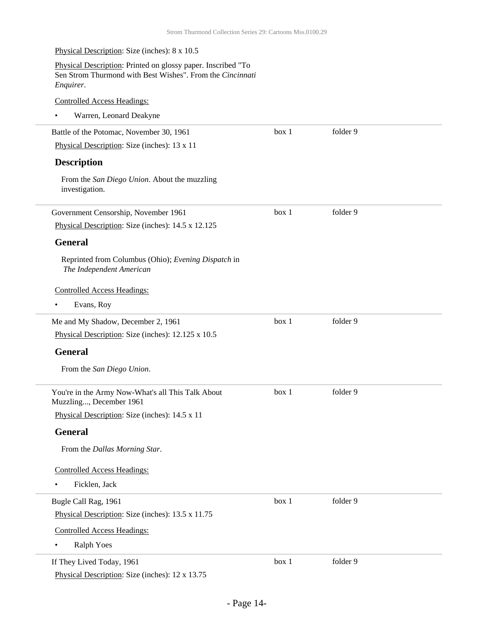### Physical Description: Size (inches): 8 x 10.5 Physical Description: Printed on glossy paper. Inscribed "To Sen Strom Thurmond with Best Wishes". From the *Cincinnati Enquirer*. Controlled Access Headings: • Warren, Leonard Deakyne Battle of the Potomac, November 30, 1961 Physical Description: Size (inches): 13 x 11 **Description** From the *San Diego Union*. About the muzzling investigation. box 1 folder 9 Government Censorship, November 1961 Physical Description: Size (inches): 14.5 x 12.125 **General** Reprinted from Columbus (Ohio); *Evening Dispatch* in  *The Independent American* Controlled Access Headings: • Evans, Roy box 1 folder 9 Me and My Shadow, December 2, 1961 Physical Description: Size (inches): 12.125 x 10.5 **General** From the *San Diego Union*. box 1 folder 9 You're in the Army Now-What's all This Talk About Muzzling..., December 1961 Physical Description: Size (inches): 14.5 x 11 **General** From the *Dallas Morning Star*. Controlled Access Headings: • Ficklen, Jack box 1 folder 9 Bugle Call Rag, 1961 Physical Description: Size (inches): 13.5 x 11.75 Controlled Access Headings: • Ralph Yoes box 1 folder 9 If They Lived Today, 1961 Physical Description: Size (inches): 12 x 13.75 box 1 folder 9

- Page 14-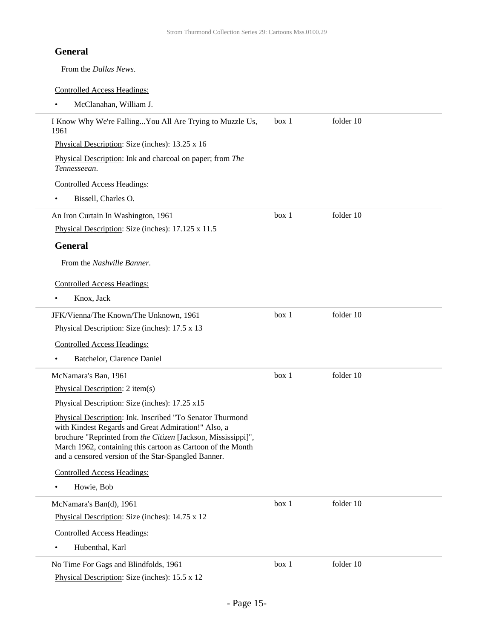### **General**

From the *Dallas News*.

Controlled Access Headings:

• McClanahan, William J.

| I Know Why We're FallingYou All Are Trying to Muzzle Us,<br>1961                                                                                                                                                                                                                                        | box 1 | folder 10 |  |
|---------------------------------------------------------------------------------------------------------------------------------------------------------------------------------------------------------------------------------------------------------------------------------------------------------|-------|-----------|--|
| Physical Description: Size (inches): 13.25 x 16                                                                                                                                                                                                                                                         |       |           |  |
| Physical Description: Ink and charcoal on paper; from The<br>Tennesseean.                                                                                                                                                                                                                               |       |           |  |
| <b>Controlled Access Headings:</b>                                                                                                                                                                                                                                                                      |       |           |  |
| Bissell, Charles O.                                                                                                                                                                                                                                                                                     |       |           |  |
| An Iron Curtain In Washington, 1961                                                                                                                                                                                                                                                                     | box 1 | folder 10 |  |
| Physical Description: Size (inches): 17.125 x 11.5                                                                                                                                                                                                                                                      |       |           |  |
| <b>General</b>                                                                                                                                                                                                                                                                                          |       |           |  |
| From the Nashville Banner.                                                                                                                                                                                                                                                                              |       |           |  |
| <b>Controlled Access Headings:</b>                                                                                                                                                                                                                                                                      |       |           |  |
| Knox, Jack<br>٠                                                                                                                                                                                                                                                                                         |       |           |  |
| JFK/Vienna/The Known/The Unknown, 1961                                                                                                                                                                                                                                                                  | box 1 | folder 10 |  |
| Physical Description: Size (inches): 17.5 x 13                                                                                                                                                                                                                                                          |       |           |  |
| <b>Controlled Access Headings:</b>                                                                                                                                                                                                                                                                      |       |           |  |
| Batchelor, Clarence Daniel                                                                                                                                                                                                                                                                              |       |           |  |
| McNamara's Ban, 1961                                                                                                                                                                                                                                                                                    | box 1 | folder 10 |  |
| Physical Description: 2 item(s)                                                                                                                                                                                                                                                                         |       |           |  |
| Physical Description: Size (inches): 17.25 x15                                                                                                                                                                                                                                                          |       |           |  |
| Physical Description: Ink. Inscribed "To Senator Thurmond<br>with Kindest Regards and Great Admiration!" Also, a<br>brochure "Reprinted from the Citizen [Jackson, Mississippi]",<br>March 1962, containing this cartoon as Cartoon of the Month<br>and a censored version of the Star-Spangled Banner. |       |           |  |
| <b>Controlled Access Headings:</b>                                                                                                                                                                                                                                                                      |       |           |  |
| Howie, Bob                                                                                                                                                                                                                                                                                              |       |           |  |
| McNamara's Ban(d), 1961                                                                                                                                                                                                                                                                                 | box 1 | folder 10 |  |
| Physical Description: Size (inches): 14.75 x 12                                                                                                                                                                                                                                                         |       |           |  |
| <b>Controlled Access Headings:</b>                                                                                                                                                                                                                                                                      |       |           |  |
| Hubenthal, Karl                                                                                                                                                                                                                                                                                         |       |           |  |
| No Time For Gags and Blindfolds, 1961                                                                                                                                                                                                                                                                   | box 1 | folder 10 |  |
| Physical Description: Size (inches): 15.5 x 12                                                                                                                                                                                                                                                          |       |           |  |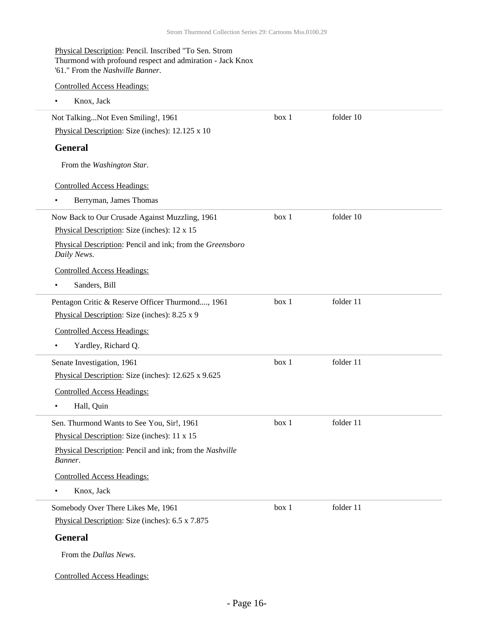| Physical Description: Pencil. Inscribed "To Sen. Strom<br>Thurmond with profound respect and admiration - Jack Knox<br>'61." From the Nashville Banner. |       |           |  |
|---------------------------------------------------------------------------------------------------------------------------------------------------------|-------|-----------|--|
| <b>Controlled Access Headings:</b>                                                                                                                      |       |           |  |
| Knox, Jack                                                                                                                                              |       |           |  |
| Not TalkingNot Even Smiling!, 1961                                                                                                                      | box 1 | folder 10 |  |
| Physical Description: Size (inches): 12.125 x 10                                                                                                        |       |           |  |
| <b>General</b>                                                                                                                                          |       |           |  |
| From the Washington Star.                                                                                                                               |       |           |  |
| <b>Controlled Access Headings:</b>                                                                                                                      |       |           |  |
| Berryman, James Thomas                                                                                                                                  |       |           |  |
| Now Back to Our Crusade Against Muzzling, 1961                                                                                                          | box 1 | folder 10 |  |
| Physical Description: Size (inches): 12 x 15                                                                                                            |       |           |  |
| Physical Description: Pencil and ink; from the Greensboro<br>Daily News.                                                                                |       |           |  |
| <b>Controlled Access Headings:</b>                                                                                                                      |       |           |  |
| Sanders, Bill<br>$\bullet$                                                                                                                              |       |           |  |
| Pentagon Critic & Reserve Officer Thurmond, 1961                                                                                                        | box 1 | folder 11 |  |
| Physical Description: Size (inches): 8.25 x 9                                                                                                           |       |           |  |
| <b>Controlled Access Headings:</b>                                                                                                                      |       |           |  |
| Yardley, Richard Q.                                                                                                                                     |       |           |  |
| Senate Investigation, 1961                                                                                                                              | box 1 | folder 11 |  |
| Physical Description: Size (inches): 12.625 x 9.625                                                                                                     |       |           |  |
| <b>Controlled Access Headings:</b>                                                                                                                      |       |           |  |
| Hall, Quin                                                                                                                                              |       |           |  |
| Sen. Thurmond Wants to See You, Sir!, 1961                                                                                                              | box 1 | folder 11 |  |
| Physical Description: Size (inches): 11 x 15                                                                                                            |       |           |  |
| Physical Description: Pencil and ink; from the Nashville<br>Banner.                                                                                     |       |           |  |
| <b>Controlled Access Headings:</b>                                                                                                                      |       |           |  |
| Knox, Jack                                                                                                                                              |       |           |  |
| Somebody Over There Likes Me, 1961                                                                                                                      | box 1 | folder 11 |  |
| Physical Description: Size (inches): 6.5 x 7.875                                                                                                        |       |           |  |
| <b>General</b>                                                                                                                                          |       |           |  |
| From the Dallas News.                                                                                                                                   |       |           |  |
| <b>Controlled Access Headings:</b>                                                                                                                      |       |           |  |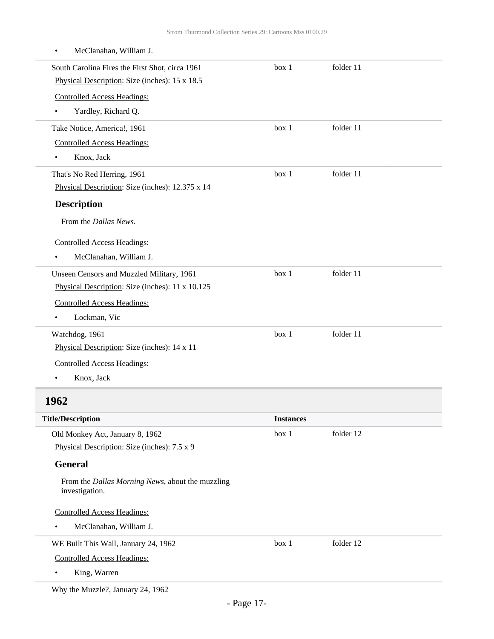- South Carolina Fires the First Shot, circa 1961 Physical Description: Size (inches): 15 x 18.5 Controlled Access Headings: • Yardley, Richard Q. box 1 folder 11 Take Notice, America!, 1961 Controlled Access Headings: • Knox, Jack box 1 folder 11 That's No Red Herring, 1961 Physical Description: Size (inches): 12.375 x 14 **Description** From the *Dallas News*. Controlled Access Headings: • McClanahan, William J. box 1 folder 11 Unseen Censors and Muzzled Military, 1961 Physical Description: Size (inches): 11 x 10.125 Controlled Access Headings: Lockman, Vic box 1 folder 11 Watchdog, 1961 Physical Description: Size (inches): 14 x 11 Controlled Access Headings: • Knox, Jack box 1 folder 11 **1962 Title/Description Instances** Old Monkey Act, January 8, 1962 Physical Description: Size (inches): 7.5 x 9 **General** From the *Dallas Morning News*, about the muzzling investigation. Controlled Access Headings: • McClanahan, William J. box 1 folder 12 WE Built This Wall, January 24, 1962 Controlled Access Headings: box 1 folder 12
	- King, Warren

<span id="page-16-0"></span>Why the Muzzle?, January 24, 1962

• McClanahan, William J.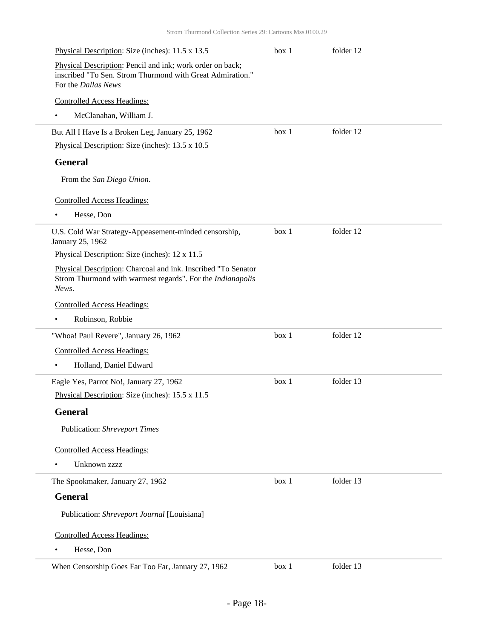| Physical Description: Size (inches): 11.5 x 13.5                                                                                              | box 1 | folder 12 |
|-----------------------------------------------------------------------------------------------------------------------------------------------|-------|-----------|
| Physical Description: Pencil and ink; work order on back;<br>inscribed "To Sen. Strom Thurmond with Great Admiration."<br>For the Dallas News |       |           |
| <b>Controlled Access Headings:</b>                                                                                                            |       |           |
| McClanahan, William J.<br>٠                                                                                                                   |       |           |
| But All I Have Is a Broken Leg, January 25, 1962                                                                                              | box 1 | folder 12 |
| Physical Description: Size (inches): 13.5 x 10.5                                                                                              |       |           |
| <b>General</b>                                                                                                                                |       |           |
| From the San Diego Union.                                                                                                                     |       |           |
| <b>Controlled Access Headings:</b>                                                                                                            |       |           |
| Hesse, Don                                                                                                                                    |       |           |
| U.S. Cold War Strategy-Appeasement-minded censorship,<br>January 25, 1962                                                                     | box 1 | folder 12 |
| Physical Description: Size (inches): 12 x 11.5                                                                                                |       |           |
| Physical Description: Charcoal and ink. Inscribed "To Senator<br>Strom Thurmond with warmest regards". For the Indianapolis<br>News.          |       |           |
| <b>Controlled Access Headings:</b>                                                                                                            |       |           |
| Robinson, Robbie<br>$\bullet$                                                                                                                 |       |           |
| "Whoa! Paul Revere", January 26, 1962                                                                                                         | box 1 | folder 12 |
| <b>Controlled Access Headings:</b>                                                                                                            |       |           |
| Holland, Daniel Edward<br>٠                                                                                                                   |       |           |
| Eagle Yes, Parrot No!, January 27, 1962                                                                                                       | box 1 | folder 13 |
| Physical Description: Size (inches): 15.5 x 11.5                                                                                              |       |           |
| <b>General</b>                                                                                                                                |       |           |
| <b>Publication:</b> Shreveport Times                                                                                                          |       |           |
| <b>Controlled Access Headings:</b>                                                                                                            |       |           |
| Unknown zzzz                                                                                                                                  |       |           |
| The Spookmaker, January 27, 1962                                                                                                              | box 1 | folder 13 |
| <b>General</b>                                                                                                                                |       |           |
| Publication: Shreveport Journal [Louisiana]                                                                                                   |       |           |
| <b>Controlled Access Headings:</b>                                                                                                            |       |           |
| Hesse, Don                                                                                                                                    |       |           |
| When Censorship Goes Far Too Far, January 27, 1962                                                                                            | box 1 | folder 13 |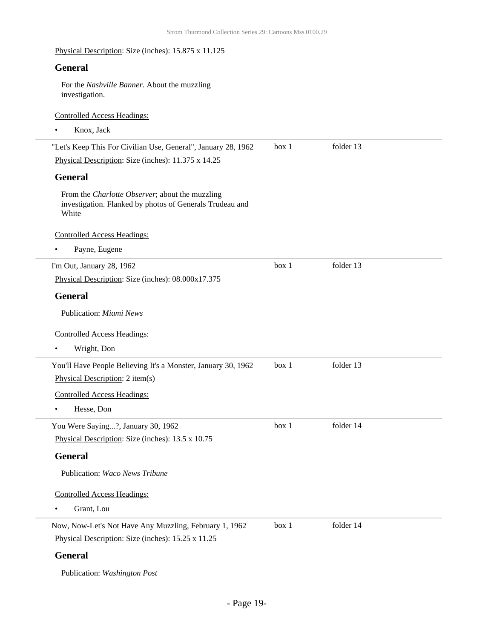Physical Description: Size (inches): 15.875 x 11.125

| <b>General</b>                                                                                                       |       |           |  |
|----------------------------------------------------------------------------------------------------------------------|-------|-----------|--|
| For the Nashville Banner. About the muzzling<br>investigation.                                                       |       |           |  |
| <b>Controlled Access Headings:</b>                                                                                   |       |           |  |
| Knox, Jack<br>$\bullet$                                                                                              |       |           |  |
| "Let's Keep This For Civilian Use, General", January 28, 1962                                                        | box 1 | folder 13 |  |
| Physical Description: Size (inches): 11.375 x 14.25                                                                  |       |           |  |
| <b>General</b>                                                                                                       |       |           |  |
| From the Charlotte Observer; about the muzzling<br>investigation. Flanked by photos of Generals Trudeau and<br>White |       |           |  |
| <b>Controlled Access Headings:</b>                                                                                   |       |           |  |
| Payne, Eugene<br>٠                                                                                                   |       |           |  |
| I'm Out, January 28, 1962                                                                                            | box 1 | folder 13 |  |
| Physical Description: Size (inches): 08.000x17.375                                                                   |       |           |  |
| <b>General</b>                                                                                                       |       |           |  |
| Publication: Miami News                                                                                              |       |           |  |
| <b>Controlled Access Headings:</b>                                                                                   |       |           |  |
| Wright, Don<br>$\bullet$                                                                                             |       |           |  |
| You'll Have People Believing It's a Monster, January 30, 1962<br>Physical Description: 2 item(s)                     | box 1 | folder 13 |  |
| <b>Controlled Access Headings:</b>                                                                                   |       |           |  |
| Hesse, Don                                                                                                           |       |           |  |
| You Were Saying?, January 30, 1962                                                                                   | box 1 | folder 14 |  |
| Physical Description: Size (inches): 13.5 x 10.75                                                                    |       |           |  |
| <b>General</b>                                                                                                       |       |           |  |
| Publication: Waco News Tribune                                                                                       |       |           |  |
| <b>Controlled Access Headings:</b>                                                                                   |       |           |  |
| Grant, Lou<br>$\bullet$                                                                                              |       |           |  |
| Now, Now-Let's Not Have Any Muzzling, February 1, 1962                                                               | box 1 | folder 14 |  |
| Physical Description: Size (inches): 15.25 x 11.25                                                                   |       |           |  |
| <b>General</b>                                                                                                       |       |           |  |
| Publication: Washington Post                                                                                         |       |           |  |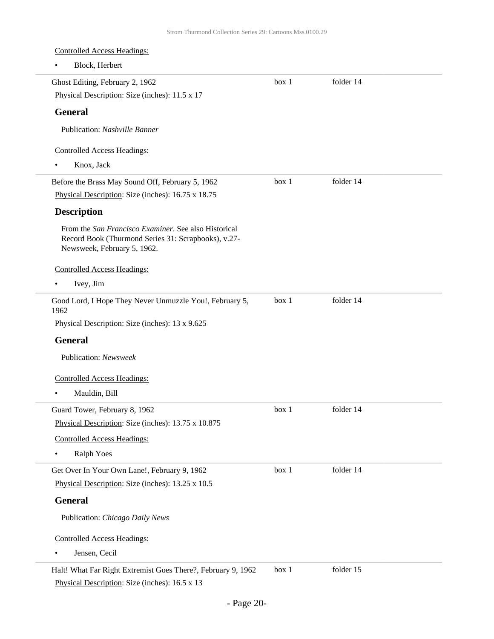Controlled Access Headings: • Block, Herbert Ghost Editing, February 2, 1962 Physical Description: Size (inches): 11.5 x 17 **General** Publication: *Nashville Banner* Controlled Access Headings: • Knox, Jack box 1 folder 14 Before the Brass May Sound Off, February 5, 1962 Physical Description: Size (inches): 16.75 x 18.75 **Description** From the *San Francisco Examiner*. See also Historical Record Book (Thurmond Series 31: Scrapbooks), v.27- Newsweek, February 5, 1962. Controlled Access Headings: • Ivey, Jim box 1 folder 14 Good Lord, I Hope They Never Unmuzzle You!, February 5, 1962 Physical Description: Size (inches): 13 x 9.625 **General** Publication: *Newsweek* Controlled Access Headings: • Mauldin, Bill box 1 folder 14 Guard Tower, February 8, 1962 Physical Description: Size (inches): 13.75 x 10.875 Controlled Access Headings: • Ralph Yoes box 1 folder 14 Get Over In Your Own Lane!, February 9, 1962 Physical Description: Size (inches): 13.25 x 10.5 **General** Publication: *Chicago Daily News* Controlled Access Headings: • Jensen, Cecil box 1 folder 14 Halt! What Far Right Extremist Goes There?, February 9, 1962 Physical Description: Size (inches): 16.5 x 13 box 1 folder 15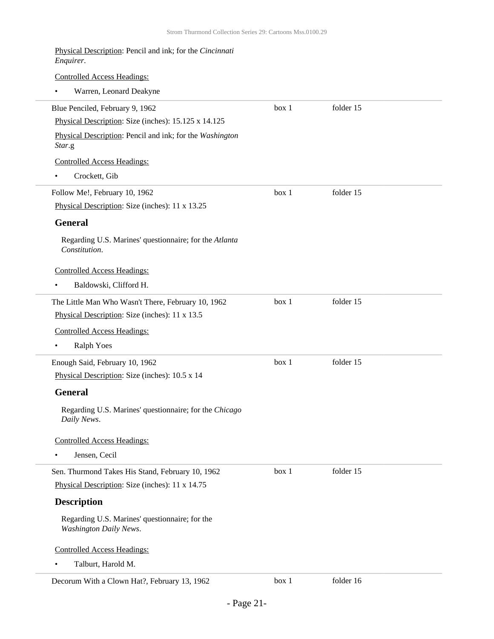| Physical Description: Pencil and ink; for the Cincinnati<br>Enquirer.    |       |           |  |
|--------------------------------------------------------------------------|-------|-----------|--|
| <b>Controlled Access Headings:</b>                                       |       |           |  |
| Warren, Leonard Deakyne<br>٠                                             |       |           |  |
| Blue Penciled, February 9, 1962                                          | box 1 | folder 15 |  |
| Physical Description: Size (inches): 15.125 x 14.125                     |       |           |  |
| Physical Description: Pencil and ink; for the Washington<br>Star.g       |       |           |  |
| <b>Controlled Access Headings:</b>                                       |       |           |  |
| Crockett, Gib                                                            |       |           |  |
| Follow Me!, February 10, 1962                                            | box 1 | folder 15 |  |
| Physical Description: Size (inches): 11 x 13.25                          |       |           |  |
| <b>General</b>                                                           |       |           |  |
| Regarding U.S. Marines' questionnaire; for the Atlanta<br>Constitution.  |       |           |  |
| <b>Controlled Access Headings:</b>                                       |       |           |  |
| Baldowski, Clifford H.<br>٠                                              |       |           |  |
| The Little Man Who Wasn't There, February 10, 1962                       | box 1 | folder 15 |  |
| Physical Description: Size (inches): 11 x 13.5                           |       |           |  |
| <b>Controlled Access Headings:</b>                                       |       |           |  |
| <b>Ralph Yoes</b><br>٠                                                   |       |           |  |
| Enough Said, February 10, 1962                                           | box 1 | folder 15 |  |
| Physical Description: Size (inches): 10.5 x 14                           |       |           |  |
| <b>General</b>                                                           |       |           |  |
| Regarding U.S. Marines' questionnaire; for the Chicago<br>Daily News.    |       |           |  |
| <b>Controlled Access Headings:</b>                                       |       |           |  |
| Jensen, Cecil<br>٠                                                       |       |           |  |
| Sen. Thurmond Takes His Stand, February 10, 1962                         | box 1 | folder 15 |  |
| Physical Description: Size (inches): 11 x 14.75                          |       |           |  |
| <b>Description</b>                                                       |       |           |  |
| Regarding U.S. Marines' questionnaire; for the<br>Washington Daily News. |       |           |  |
| <b>Controlled Access Headings:</b>                                       |       |           |  |
| Talburt, Harold M.<br>$\bullet$                                          |       |           |  |
| Decorum With a Clown Hat?, February 13, 1962                             | box 1 | folder 16 |  |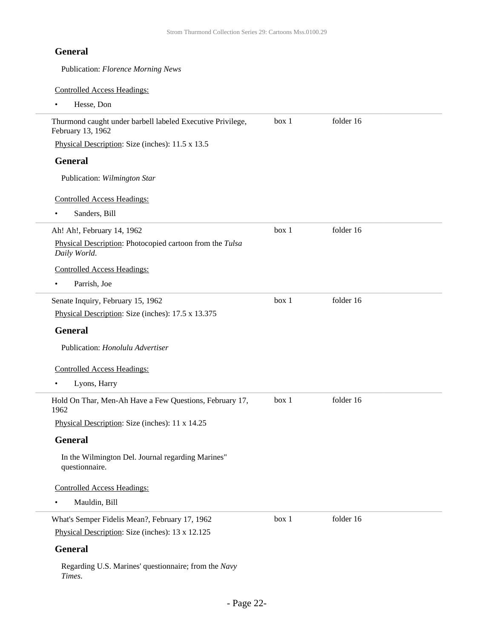### **General**

Publication: *Florence Morning News*

Controlled Access Headings:

• Hesse, Don

| Thurmond caught under barbell labeled Executive Privilege,<br>February 13, 1962 | box 1 | folder 16 |  |
|---------------------------------------------------------------------------------|-------|-----------|--|
| Physical Description: Size (inches): 11.5 x 13.5                                |       |           |  |
| <b>General</b>                                                                  |       |           |  |
| Publication: Wilmington Star                                                    |       |           |  |
| <b>Controlled Access Headings:</b>                                              |       |           |  |
| Sanders, Bill                                                                   |       |           |  |
| Ah! Ah!, February 14, 1962                                                      | box 1 | folder 16 |  |
| Physical Description: Photocopied cartoon from the Tulsa<br>Daily World.        |       |           |  |
| <b>Controlled Access Headings:</b>                                              |       |           |  |
| Parrish, Joe                                                                    |       |           |  |
| Senate Inquiry, February 15, 1962                                               | box 1 | folder 16 |  |
| Physical Description: Size (inches): 17.5 x 13.375                              |       |           |  |
| <b>General</b>                                                                  |       |           |  |
| Publication: Honolulu Advertiser                                                |       |           |  |
| <b>Controlled Access Headings:</b>                                              |       |           |  |
| Lyons, Harry<br>٠                                                               |       |           |  |
| Hold On Thar, Men-Ah Have a Few Questions, February 17,<br>1962                 | box 1 | folder 16 |  |
| Physical Description: Size (inches): 11 x 14.25                                 |       |           |  |
| <b>General</b>                                                                  |       |           |  |
| In the Wilmington Del. Journal regarding Marines"<br>questionnaire.             |       |           |  |
| <b>Controlled Access Headings:</b>                                              |       |           |  |
| Mauldin, Bill<br>٠                                                              |       |           |  |
| What's Semper Fidelis Mean?, February 17, 1962                                  | box 1 | folder 16 |  |
| Physical Description: Size (inches): 13 x 12.125                                |       |           |  |
| <b>General</b>                                                                  |       |           |  |
| Regarding U.S. Marines' questionnaire; from the Navy<br>Times.                  |       |           |  |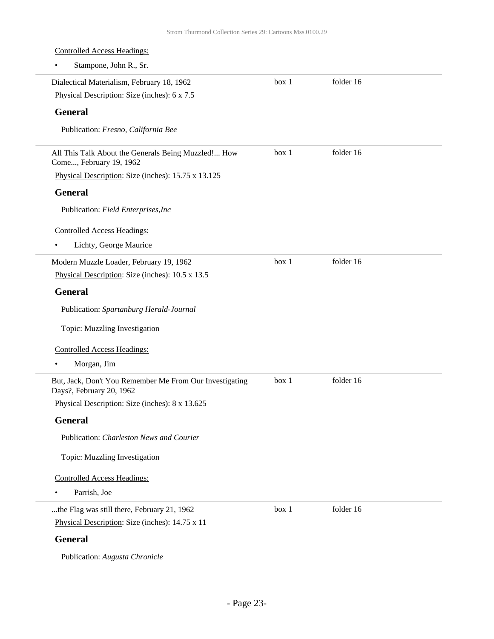| <b>Controlled Access Headings:</b>                                                  |       |           |  |
|-------------------------------------------------------------------------------------|-------|-----------|--|
| Stampone, John R., Sr.                                                              |       |           |  |
| Dialectical Materialism, February 18, 1962                                          | box 1 | folder 16 |  |
| Physical Description: Size (inches): 6 x 7.5                                        |       |           |  |
| <b>General</b>                                                                      |       |           |  |
| Publication: Fresno, California Bee                                                 |       |           |  |
| All This Talk About the Generals Being Muzzled! How<br>Come, February 19, 1962      | box 1 | folder 16 |  |
| Physical Description: Size (inches): 15.75 x 13.125                                 |       |           |  |
| <b>General</b>                                                                      |       |           |  |
| Publication: Field Enterprises, Inc                                                 |       |           |  |
| <b>Controlled Access Headings:</b>                                                  |       |           |  |
| Lichty, George Maurice                                                              |       |           |  |
| Modern Muzzle Loader, February 19, 1962                                             | box 1 | folder 16 |  |
| Physical Description: Size (inches): 10.5 x 13.5                                    |       |           |  |
| <b>General</b>                                                                      |       |           |  |
| Publication: Spartanburg Herald-Journal                                             |       |           |  |
| Topic: Muzzling Investigation                                                       |       |           |  |
| <b>Controlled Access Headings:</b>                                                  |       |           |  |
| Morgan, Jim<br>٠                                                                    |       |           |  |
| But, Jack, Don't You Remember Me From Our Investigating<br>Days?, February 20, 1962 | box 1 | folder 16 |  |
| Physical Description: Size (inches): 8 x 13.625                                     |       |           |  |
| <b>General</b>                                                                      |       |           |  |
| Publication: Charleston News and Courier                                            |       |           |  |
| Topic: Muzzling Investigation                                                       |       |           |  |
| <b>Controlled Access Headings:</b>                                                  |       |           |  |
| Parrish, Joe                                                                        |       |           |  |
| the Flag was still there, February 21, 1962                                         | box 1 | folder 16 |  |
| Physical Description: Size (inches): 14.75 x 11                                     |       |           |  |
| <b>General</b>                                                                      |       |           |  |
| Publication: Augusta Chronicle                                                      |       |           |  |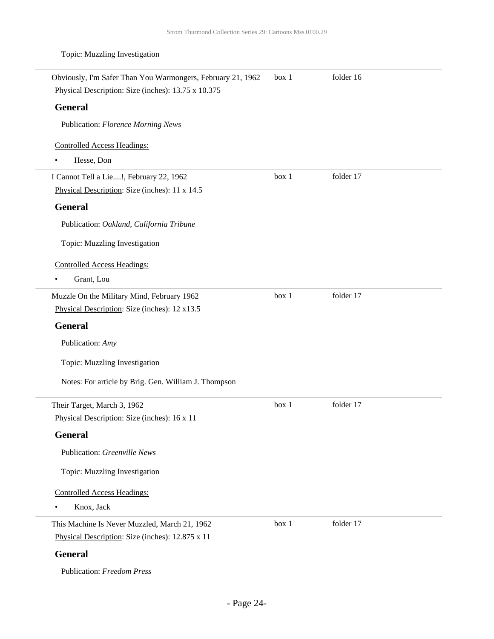Topic: Muzzling Investigation

| Obviously, I'm Safer Than You Warmongers, February 21, 1962 | box 1 | folder 16 |
|-------------------------------------------------------------|-------|-----------|
| Physical Description: Size (inches): 13.75 x 10.375         |       |           |
| <b>General</b>                                              |       |           |
| Publication: Florence Morning News                          |       |           |
| <b>Controlled Access Headings:</b>                          |       |           |
| Hesse, Don                                                  |       |           |
| I Cannot Tell a Lie!, February 22, 1962                     | box 1 | folder 17 |
| Physical Description: Size (inches): 11 x 14.5              |       |           |
| <b>General</b>                                              |       |           |
| Publication: Oakland, California Tribune                    |       |           |
| Topic: Muzzling Investigation                               |       |           |
| <b>Controlled Access Headings:</b>                          |       |           |
| Grant, Lou<br>٠                                             |       |           |
| Muzzle On the Military Mind, February 1962                  | box 1 | folder 17 |
| Physical Description: Size (inches): 12 x13.5               |       |           |
| <b>General</b>                                              |       |           |
| Publication: Amy                                            |       |           |
| Topic: Muzzling Investigation                               |       |           |
| Notes: For article by Brig. Gen. William J. Thompson        |       |           |
| Their Target, March 3, 1962                                 | box 1 | folder 17 |
| Physical Description: Size (inches): 16 x 11                |       |           |
| <b>General</b>                                              |       |           |
| Publication: Greenville News                                |       |           |
| Topic: Muzzling Investigation                               |       |           |
| <b>Controlled Access Headings:</b>                          |       |           |
| Knox, Jack<br>$\bullet$                                     |       |           |
| This Machine Is Never Muzzled, March 21, 1962               | box 1 | folder 17 |
| Physical Description: Size (inches): 12.875 x 11            |       |           |
| <b>General</b>                                              |       |           |
| Publication: Freedom Press                                  |       |           |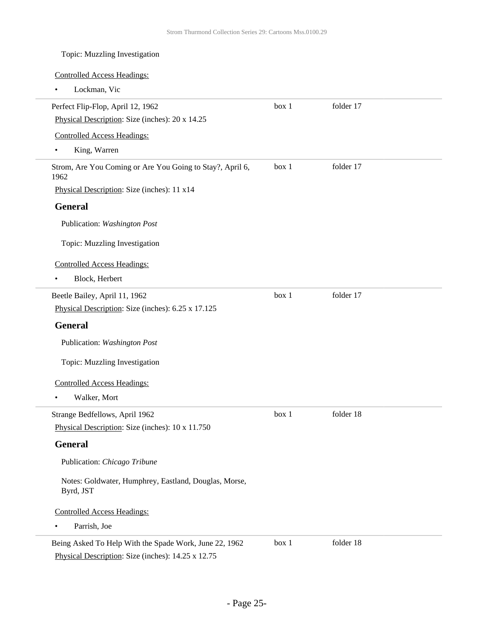| Topic: Muzzling Investigation                                                                                |       |           |  |
|--------------------------------------------------------------------------------------------------------------|-------|-----------|--|
| <b>Controlled Access Headings:</b>                                                                           |       |           |  |
| Lockman, Vic                                                                                                 |       |           |  |
| Perfect Flip-Flop, April 12, 1962                                                                            | box 1 | folder 17 |  |
| Physical Description: Size (inches): 20 x 14.25                                                              |       |           |  |
| <b>Controlled Access Headings:</b>                                                                           |       |           |  |
| King, Warren<br>$\bullet$                                                                                    |       |           |  |
| Strom, Are You Coming or Are You Going to Stay?, April 6,<br>1962                                            | box 1 | folder 17 |  |
| Physical Description: Size (inches): 11 x14                                                                  |       |           |  |
| <b>General</b>                                                                                               |       |           |  |
| Publication: Washington Post                                                                                 |       |           |  |
| Topic: Muzzling Investigation                                                                                |       |           |  |
| <b>Controlled Access Headings:</b>                                                                           |       |           |  |
| Block, Herbert                                                                                               |       |           |  |
| Beetle Bailey, April 11, 1962                                                                                | box 1 | folder 17 |  |
| Physical Description: Size (inches): 6.25 x 17.125                                                           |       |           |  |
| <b>General</b>                                                                                               |       |           |  |
| Publication: Washington Post                                                                                 |       |           |  |
| Topic: Muzzling Investigation                                                                                |       |           |  |
| <b>Controlled Access Headings:</b>                                                                           |       |           |  |
| Walker, Mort                                                                                                 |       |           |  |
| Strange Bedfellows, April 1962                                                                               | box 1 | folder 18 |  |
| Physical Description: Size (inches): 10 x 11.750                                                             |       |           |  |
| <b>General</b>                                                                                               |       |           |  |
| Publication: Chicago Tribune                                                                                 |       |           |  |
| Notes: Goldwater, Humphrey, Eastland, Douglas, Morse,<br>Byrd, JST                                           |       |           |  |
| <b>Controlled Access Headings:</b>                                                                           |       |           |  |
| Parrish, Joe<br>٠                                                                                            |       |           |  |
| Being Asked To Help With the Spade Work, June 22, 1962<br>Physical Description: Size (inches): 14.25 x 12.75 | box 1 | folder 18 |  |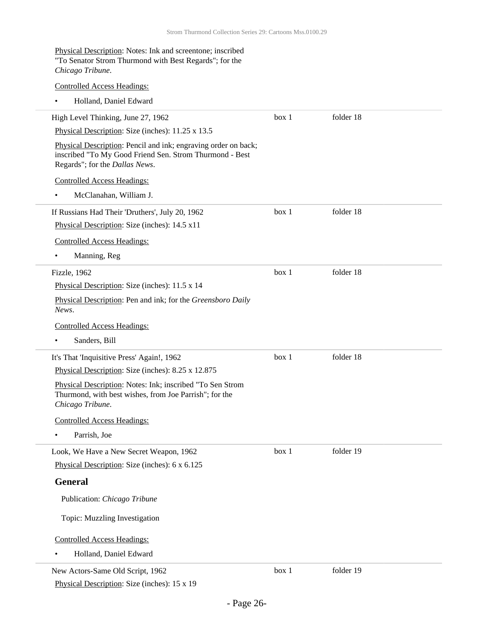| Physical Description: Notes: Ink and screentone; inscribed |
|------------------------------------------------------------|
| "To Senator Strom Thurmond with Best Regards"; for the     |
| Chicago Tribune.                                           |

Controlled Access Headings:

| Holland, Daniel Edward<br>$\bullet$                                                                                                                         |       |           |
|-------------------------------------------------------------------------------------------------------------------------------------------------------------|-------|-----------|
| High Level Thinking, June 27, 1962                                                                                                                          | box 1 | folder 18 |
| Physical Description: Size (inches): 11.25 x 13.5                                                                                                           |       |           |
| Physical Description: Pencil and ink; engraving order on back;<br>inscribed "To My Good Friend Sen. Strom Thurmond - Best<br>Regards"; for the Dallas News. |       |           |
| <b>Controlled Access Headings:</b>                                                                                                                          |       |           |
| McClanahan, William J.                                                                                                                                      |       |           |
| If Russians Had Their 'Druthers', July 20, 1962                                                                                                             | box 1 | folder 18 |
| Physical Description: Size (inches): 14.5 x11                                                                                                               |       |           |
| <b>Controlled Access Headings:</b>                                                                                                                          |       |           |
| Manning, Reg                                                                                                                                                |       |           |
| Fizzle, 1962                                                                                                                                                | box 1 | folder 18 |
| Physical Description: Size (inches): 11.5 x 14                                                                                                              |       |           |
| Physical Description: Pen and ink; for the Greensboro Daily<br>News.                                                                                        |       |           |
| <b>Controlled Access Headings:</b>                                                                                                                          |       |           |
| Sanders, Bill                                                                                                                                               |       |           |
| It's That 'Inquisitive Press' Again!, 1962                                                                                                                  | box 1 | folder 18 |
| Physical Description: Size (inches): 8.25 x 12.875                                                                                                          |       |           |
| Physical Description: Notes: Ink; inscribed "To Sen Strom<br>Thurmond, with best wishes, from Joe Parrish"; for the<br>Chicago Tribune.                     |       |           |
| <b>Controlled Access Headings:</b>                                                                                                                          |       |           |
| Parrish, Joe                                                                                                                                                |       |           |
| Look, We Have a New Secret Weapon, 1962                                                                                                                     | box 1 | folder 19 |
| Physical Description: Size (inches): 6 x 6.125                                                                                                              |       |           |
| <b>General</b>                                                                                                                                              |       |           |
| Publication: Chicago Tribune                                                                                                                                |       |           |
| Topic: Muzzling Investigation                                                                                                                               |       |           |
| <b>Controlled Access Headings:</b>                                                                                                                          |       |           |
| Holland, Daniel Edward                                                                                                                                      |       |           |
| New Actors-Same Old Script, 1962                                                                                                                            | box 1 | folder 19 |
| Physical Description: Size (inches): 15 x 19                                                                                                                |       |           |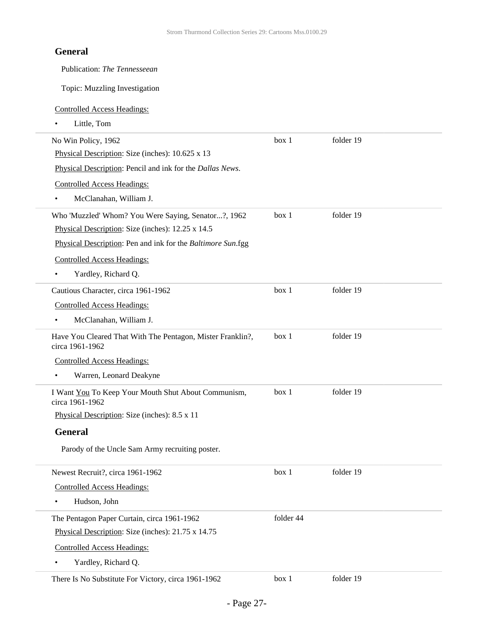### **General**

Publication: *The Tennesseean*

Topic: Muzzling Investigation

Controlled Access Headings:

| Little, Tom<br>$\bullet$                                                      |           |           |
|-------------------------------------------------------------------------------|-----------|-----------|
| No Win Policy, 1962                                                           | box 1     | folder 19 |
| Physical Description: Size (inches): 10.625 x 13                              |           |           |
| Physical Description: Pencil and ink for the Dallas News.                     |           |           |
| <b>Controlled Access Headings:</b>                                            |           |           |
| McClanahan, William J.<br>$\bullet$                                           |           |           |
| Who 'Muzzled' Whom? You Were Saying, Senator?, 1962                           | box 1     | folder 19 |
| Physical Description: Size (inches): 12.25 x 14.5                             |           |           |
| Physical Description: Pen and ink for the Baltimore Sun.fgg                   |           |           |
| <b>Controlled Access Headings:</b>                                            |           |           |
| Yardley, Richard Q.<br>$\bullet$                                              |           |           |
| Cautious Character, circa 1961-1962                                           | box 1     | folder 19 |
| <b>Controlled Access Headings:</b>                                            |           |           |
| McClanahan, William J.                                                        |           |           |
| Have You Cleared That With The Pentagon, Mister Franklin?,<br>circa 1961-1962 | box 1     | folder 19 |
| <b>Controlled Access Headings:</b>                                            |           |           |
| Warren, Leonard Deakyne<br>$\bullet$                                          |           |           |
| I Want You To Keep Your Mouth Shut About Communism,<br>circa 1961-1962        | box 1     | folder 19 |
| Physical Description: Size (inches): 8.5 x 11                                 |           |           |
| <b>General</b>                                                                |           |           |
| Parody of the Uncle Sam Army recruiting poster.                               |           |           |
| Newest Recruit?, circa 1961-1962                                              | box 1     | folder 19 |
| <b>Controlled Access Headings:</b>                                            |           |           |
| Hudson, John                                                                  |           |           |
| The Pentagon Paper Curtain, circa 1961-1962                                   | folder 44 |           |
| Physical Description: Size (inches): 21.75 x 14.75                            |           |           |
| <b>Controlled Access Headings:</b>                                            |           |           |
| Yardley, Richard Q.                                                           |           |           |
| There Is No Substitute For Victory, circa 1961-1962                           | box 1     | folder 19 |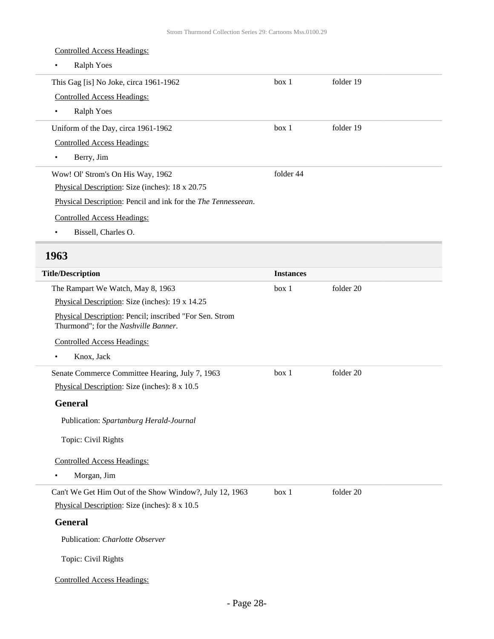### Controlled Access Headings: • Ralph Yoes This Gag [is] No Joke, circa 1961-1962 Controlled Access Headings: • Ralph Yoes box 1 folder 19 Uniform of the Day, circa 1961-1962 Controlled Access Headings: • Berry, Jim box 1 folder 19 Wow! Ol' Strom's On His Way, 1962 Physical Description: Size (inches): 18 x 20.75 Physical Description: Pencil and ink for the *The Tennesseean*. Controlled Access Headings: • Bissell, Charles O. folder 44

### <span id="page-27-0"></span>**1963**

| <b>Title/Description</b>                                                                        | <b>Instances</b> |           |
|-------------------------------------------------------------------------------------------------|------------------|-----------|
| The Rampart We Watch, May 8, 1963                                                               | box 1            | folder 20 |
| Physical Description: Size (inches): 19 x 14.25                                                 |                  |           |
| Physical Description: Pencil; inscribed "For Sen. Strom<br>Thurmond"; for the Nashville Banner. |                  |           |
| <b>Controlled Access Headings:</b>                                                              |                  |           |
| Knox, Jack<br>$\bullet$                                                                         |                  |           |
| Senate Commerce Committee Hearing, July 7, 1963                                                 | box 1            | folder 20 |
| Physical Description: Size (inches): 8 x 10.5                                                   |                  |           |
| <b>General</b>                                                                                  |                  |           |
| Publication: Spartanburg Herald-Journal                                                         |                  |           |
| Topic: Civil Rights                                                                             |                  |           |
| <b>Controlled Access Headings:</b>                                                              |                  |           |
| Morgan, Jim<br>$\bullet$                                                                        |                  |           |
| Can't We Get Him Out of the Show Window?, July 12, 1963                                         | box 1            | folder 20 |
| Physical Description: Size (inches): 8 x 10.5                                                   |                  |           |
| <b>General</b>                                                                                  |                  |           |
| Publication: Charlotte Observer                                                                 |                  |           |
| Topic: Civil Rights                                                                             |                  |           |
| <b>Controlled Access Headings:</b>                                                              |                  |           |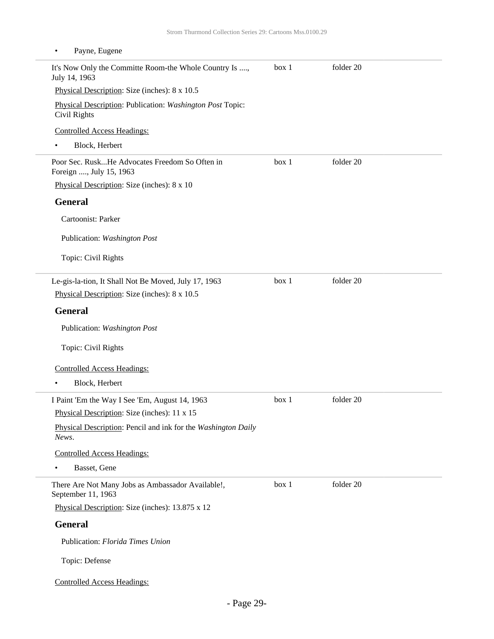| Payne, Eugene<br>٠                                                                             |       |           |  |
|------------------------------------------------------------------------------------------------|-------|-----------|--|
| It's Now Only the Committe Room-the Whole Country Is ,<br>July 14, 1963                        | box 1 | folder 20 |  |
| Physical Description: Size (inches): 8 x 10.5                                                  |       |           |  |
| Physical Description: Publication: Washington Post Topic:<br>Civil Rights                      |       |           |  |
| <b>Controlled Access Headings:</b>                                                             |       |           |  |
| Block, Herbert<br>٠                                                                            |       |           |  |
| Poor Sec. RuskHe Advocates Freedom So Often in<br>Foreign , July 15, 1963                      | box 1 | folder 20 |  |
| Physical Description: Size (inches): 8 x 10                                                    |       |           |  |
| <b>General</b>                                                                                 |       |           |  |
| Cartoonist: Parker                                                                             |       |           |  |
| Publication: Washington Post                                                                   |       |           |  |
| Topic: Civil Rights                                                                            |       |           |  |
| Le-gis-la-tion, It Shall Not Be Moved, July 17, 1963                                           | box 1 | folder 20 |  |
| Physical Description: Size (inches): 8 x 10.5                                                  |       |           |  |
| <b>General</b>                                                                                 |       |           |  |
|                                                                                                |       |           |  |
| Publication: Washington Post                                                                   |       |           |  |
| Topic: Civil Rights                                                                            |       |           |  |
|                                                                                                |       |           |  |
| <b>Controlled Access Headings:</b>                                                             |       |           |  |
| Block, Herbert                                                                                 |       |           |  |
| I Paint 'Em the Way I See 'Em, August 14, 1963<br>Physical Description: Size (inches): 11 x 15 | box 1 | folder 20 |  |
| Physical Description: Pencil and ink for the Washington Daily<br>News.                         |       |           |  |
| <b>Controlled Access Headings:</b>                                                             |       |           |  |
| Basset, Gene<br>٠                                                                              |       |           |  |
| There Are Not Many Jobs as Ambassador Available!,<br>September 11, 1963                        | box 1 | folder 20 |  |
| Physical Description: Size (inches): 13.875 x 12                                               |       |           |  |
| <b>General</b>                                                                                 |       |           |  |
| Publication: Florida Times Union                                                               |       |           |  |
| Topic: Defense                                                                                 |       |           |  |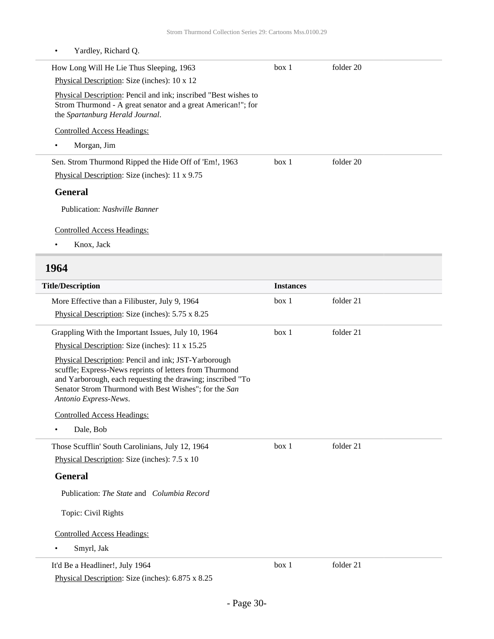• Yardley, Richard Q.

| How Long Will He Lie Thus Sleeping, 1963<br>Physical Description: Size (inches): 10 x 12                                                                                          | box 1 | folder 20 |
|-----------------------------------------------------------------------------------------------------------------------------------------------------------------------------------|-------|-----------|
| <b>Physical Description:</b> Pencil and ink; inscribed "Best wishes to<br>Strom Thurmond - A great senator and a great American!"; for<br>the <i>Spartanburg Herald Journal</i> . |       |           |
| <b>Controlled Access Headings:</b>                                                                                                                                                |       |           |
| Morgan, Jim<br>٠                                                                                                                                                                  |       |           |
| Sen. Strom Thurmond Ripped the Hide Off of 'Em!, 1963                                                                                                                             | box 1 | folder 20 |
| Physical Description: Size (inches): 11 x 9.75                                                                                                                                    |       |           |
| <b>General</b>                                                                                                                                                                    |       |           |
| Publication: Nashville Banner                                                                                                                                                     |       |           |
| <b>Controlled Access Headings:</b>                                                                                                                                                |       |           |
| Knox, Jack                                                                                                                                                                        |       |           |
|                                                                                                                                                                                   |       |           |

## <span id="page-29-0"></span>**1964**

L

| <b>Title/Description</b>                                                                                                                                                                                                                                        | <b>Instances</b> |           |
|-----------------------------------------------------------------------------------------------------------------------------------------------------------------------------------------------------------------------------------------------------------------|------------------|-----------|
| More Effective than a Filibuster, July 9, 1964                                                                                                                                                                                                                  | box 1            | folder 21 |
| Physical Description: Size (inches): 5.75 x 8.25                                                                                                                                                                                                                |                  |           |
| Grappling With the Important Issues, July 10, 1964                                                                                                                                                                                                              | box 1            | folder 21 |
| Physical Description: Size (inches): 11 x 15.25                                                                                                                                                                                                                 |                  |           |
| Physical Description: Pencil and ink; JST-Yarborough<br>scuffle; Express-News reprints of letters from Thurmond<br>and Yarborough, each requesting the drawing; inscribed "To<br>Senator Strom Thurmond with Best Wishes"; for the San<br>Antonio Express-News. |                  |           |
| <b>Controlled Access Headings:</b>                                                                                                                                                                                                                              |                  |           |
| Dale, Bob                                                                                                                                                                                                                                                       |                  |           |
| Those Scufflin' South Carolinians, July 12, 1964                                                                                                                                                                                                                | box 1            | folder 21 |
| Physical Description: Size (inches): 7.5 x 10                                                                                                                                                                                                                   |                  |           |
| <b>General</b>                                                                                                                                                                                                                                                  |                  |           |
| Publication: <i>The State</i> and <i>Columbia Record</i>                                                                                                                                                                                                        |                  |           |
| Topic: Civil Rights                                                                                                                                                                                                                                             |                  |           |
| <b>Controlled Access Headings:</b>                                                                                                                                                                                                                              |                  |           |
| Smyrl, Jak                                                                                                                                                                                                                                                      |                  |           |
| It'd Be a Headliner!, July 1964                                                                                                                                                                                                                                 | box 1            | folder 21 |
| Physical Description: Size (inches): 6.875 x 8.25                                                                                                                                                                                                               |                  |           |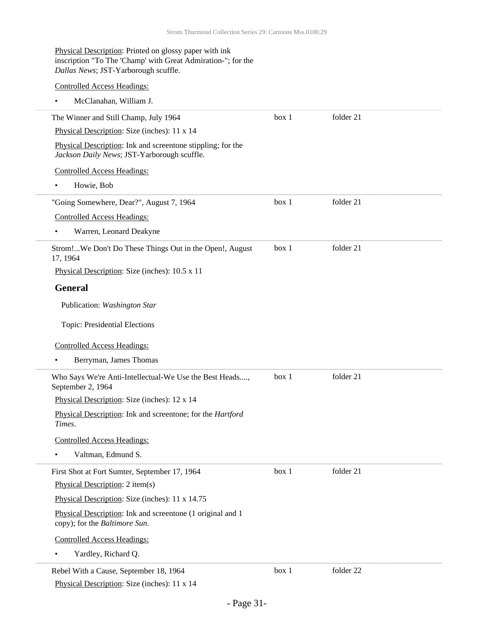#### Physical Description: Printed on glossy paper with ink inscription "To The 'Champ' with Great Admiration-"; for the *Dallas News*; JST-Yarborough scuffle.

| <b>Controlled Access Headings:</b>                                                                         |       |           |  |
|------------------------------------------------------------------------------------------------------------|-------|-----------|--|
| McClanahan, William J.<br>$\bullet$                                                                        |       |           |  |
| The Winner and Still Champ, July 1964                                                                      | box 1 | folder 21 |  |
| Physical Description: Size (inches): 11 x 14                                                               |       |           |  |
| Physical Description: Ink and screentone stippling; for the<br>Jackson Daily News; JST-Yarborough scuffle. |       |           |  |
| <b>Controlled Access Headings:</b>                                                                         |       |           |  |
| Howie, Bob                                                                                                 |       |           |  |
| "Going Somewhere, Dear?", August 7, 1964                                                                   | box 1 | folder 21 |  |
| <b>Controlled Access Headings:</b>                                                                         |       |           |  |
| Warren, Leonard Deakyne                                                                                    |       |           |  |
| Strom!We Don't Do These Things Out in the Open!, August<br>17, 1964                                        | box 1 | folder 21 |  |
| Physical Description: Size (inches): 10.5 x 11                                                             |       |           |  |
| <b>General</b>                                                                                             |       |           |  |
| Publication: Washington Star                                                                               |       |           |  |
| Topic: Presidential Elections                                                                              |       |           |  |
|                                                                                                            |       |           |  |
| <b>Controlled Access Headings:</b>                                                                         |       |           |  |
| Berryman, James Thomas<br>٠                                                                                |       |           |  |
| Who Says We're Anti-Intellectual-We Use the Best Heads,<br>September 2, 1964                               | box 1 | folder 21 |  |
| Physical Description: Size (inches): 12 x 14                                                               |       |           |  |
| Physical Description: Ink and screentone; for the <i>Hartford</i><br>Times.                                |       |           |  |
| <b>Controlled Access Headings:</b>                                                                         |       |           |  |
| Valtman, Edmund S.                                                                                         |       |           |  |
| First Shot at Fort Sumter, September 17, 1964                                                              | box 1 | folder 21 |  |
| Physical Description: 2 item(s)                                                                            |       |           |  |
| Physical Description: Size (inches): 11 x 14.75                                                            |       |           |  |
| Physical Description: Ink and screentone (1 original and 1<br>copy); for the Baltimore Sun.                |       |           |  |
| <b>Controlled Access Headings:</b>                                                                         |       |           |  |
| Yardley, Richard Q.                                                                                        |       |           |  |
| Rebel With a Cause, September 18, 1964                                                                     | box 1 | folder 22 |  |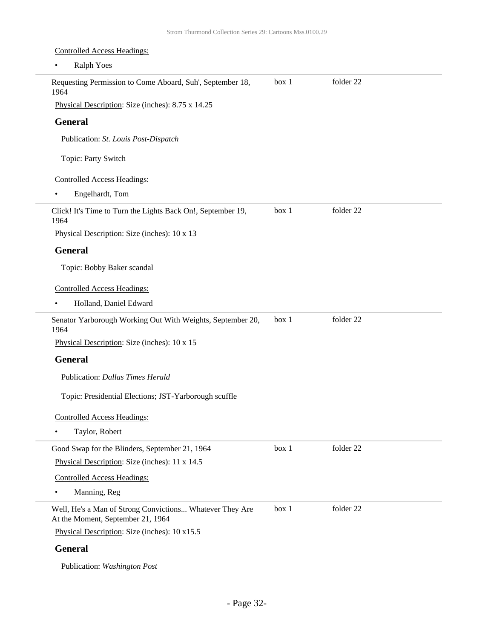#### Controlled Access Headings:

| <b>Ralph Yoes</b><br>$\bullet$                                                                |       |           |
|-----------------------------------------------------------------------------------------------|-------|-----------|
| Requesting Permission to Come Aboard, Suh', September 18,<br>1964                             | box 1 | folder 22 |
| Physical Description: Size (inches): 8.75 x 14.25                                             |       |           |
| <b>General</b>                                                                                |       |           |
| Publication: St. Louis Post-Dispatch                                                          |       |           |
| Topic: Party Switch                                                                           |       |           |
| <b>Controlled Access Headings:</b>                                                            |       |           |
| Engelhardt, Tom                                                                               |       |           |
| Click! It's Time to Turn the Lights Back On!, September 19,<br>1964                           | box 1 | folder 22 |
| Physical Description: Size (inches): 10 x 13                                                  |       |           |
| <b>General</b>                                                                                |       |           |
| Topic: Bobby Baker scandal                                                                    |       |           |
| <b>Controlled Access Headings:</b>                                                            |       |           |
| Holland, Daniel Edward<br>$\bullet$                                                           |       |           |
| Senator Yarborough Working Out With Weights, September 20,<br>1964                            | box 1 | folder 22 |
| Physical Description: Size (inches): 10 x 15                                                  |       |           |
| <b>General</b>                                                                                |       |           |
| Publication: Dallas Times Herald                                                              |       |           |
| Topic: Presidential Elections; JST-Yarborough scuffle                                         |       |           |
| <b>Controlled Access Headings:</b>                                                            |       |           |
| Taylor, Robert<br>٠                                                                           |       |           |
| Good Swap for the Blinders, September 21, 1964                                                | box 1 | folder 22 |
| Physical Description: Size (inches): 11 x 14.5                                                |       |           |
| <b>Controlled Access Headings:</b>                                                            |       |           |
| Manning, Reg                                                                                  |       |           |
| Well, He's a Man of Strong Convictions Whatever They Are<br>At the Moment, September 21, 1964 | box 1 | folder 22 |
| Physical Description: Size (inches): 10 x15.5                                                 |       |           |
| <b>General</b>                                                                                |       |           |

Publication: *Washington Post*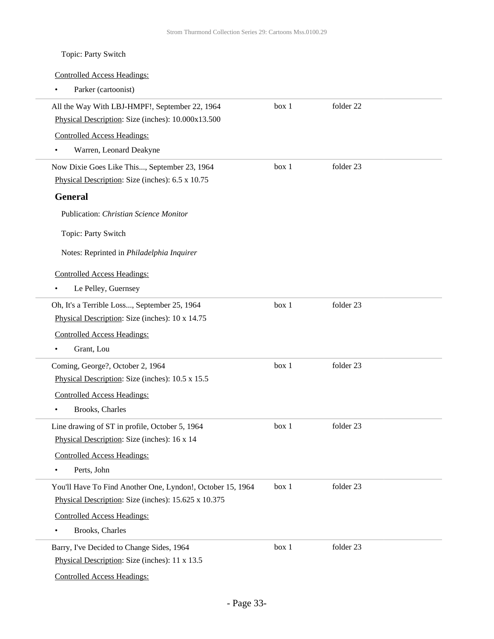### Topic: Party Switch

| <b>Controlled Access Headings:</b>                         |       |           |
|------------------------------------------------------------|-------|-----------|
| Parker (cartoonist)                                        |       |           |
| All the Way With LBJ-HMPF!, September 22, 1964             | box 1 | folder 22 |
| Physical Description: Size (inches): 10.000x13.500         |       |           |
| <b>Controlled Access Headings:</b>                         |       |           |
| Warren, Leonard Deakyne                                    |       |           |
| Now Dixie Goes Like This, September 23, 1964               | box 1 | folder 23 |
| Physical Description: Size (inches): 6.5 x 10.75           |       |           |
| <b>General</b>                                             |       |           |
| Publication: Christian Science Monitor                     |       |           |
| Topic: Party Switch                                        |       |           |
| Notes: Reprinted in Philadelphia Inquirer                  |       |           |
| <b>Controlled Access Headings:</b>                         |       |           |
| Le Pelley, Guernsey                                        |       |           |
| Oh, It's a Terrible Loss, September 25, 1964               | box 1 | folder 23 |
| Physical Description: Size (inches): 10 x 14.75            |       |           |
| <b>Controlled Access Headings:</b>                         |       |           |
| Grant, Lou                                                 |       |           |
| Coming, George?, October 2, 1964                           | box 1 | folder 23 |
| Physical Description: Size (inches): 10.5 x 15.5           |       |           |
| <b>Controlled Access Headings:</b>                         |       |           |
| Brooks, Charles                                            |       |           |
| Line drawing of ST in profile, October 5, 1964             | box 1 | folder 23 |
| Physical Description: Size (inches): 16 x 14               |       |           |
| <b>Controlled Access Headings:</b>                         |       |           |
| Perts, John<br>$\bullet$                                   |       |           |
| You'll Have To Find Another One, Lyndon!, October 15, 1964 | box 1 | folder 23 |
| Physical Description: Size (inches): 15.625 x 10.375       |       |           |
| <b>Controlled Access Headings:</b>                         |       |           |
| Brooks, Charles<br>$\bullet$                               |       |           |
| Barry, I've Decided to Change Sides, 1964                  | box 1 | folder 23 |
| Physical Description: Size (inches): 11 x 13.5             |       |           |
| <b>Controlled Access Headings:</b>                         |       |           |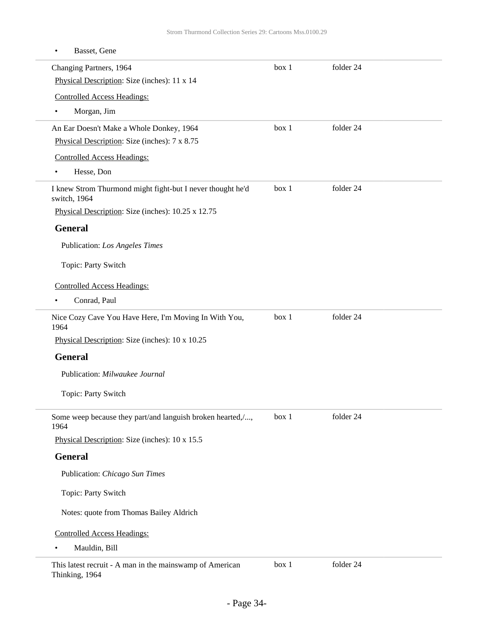• Basset, Gene

Changing Partners, 1964 Physical Description: Size (inches): 11 x 14 Controlled Access Headings: • Morgan, Jim box 1 folder 24 An Ear Doesn't Make a Whole Donkey, 1964 Physical Description: Size (inches): 7 x 8.75 Controlled Access Headings: • Hesse, Don box 1 folder 24 I knew Strom Thurmond might fight-but I never thought he'd switch, 1964 Physical Description: Size (inches): 10.25 x 12.75 **General** Publication: *Los Angeles Times* Topic: Party Switch Controlled Access Headings: Conrad, Paul box 1 folder 24 Nice Cozy Cave You Have Here, I'm Moving In With You, 1964 Physical Description: Size (inches): 10 x 10.25 **General** Publication: *Milwaukee Journal* Topic: Party Switch box 1 folder 24 Some weep because they part/and languish broken hearted,/..., 1964 Physical Description: Size (inches): 10 x 15.5 **General** Publication: *Chicago Sun Times* Topic: Party Switch Notes: quote from Thomas Bailey Aldrich Controlled Access Headings: • Mauldin, Bill box 1 folder 24 This latest recruit - A man in the mainswamp of American Thinking, 1964 box 1 folder 24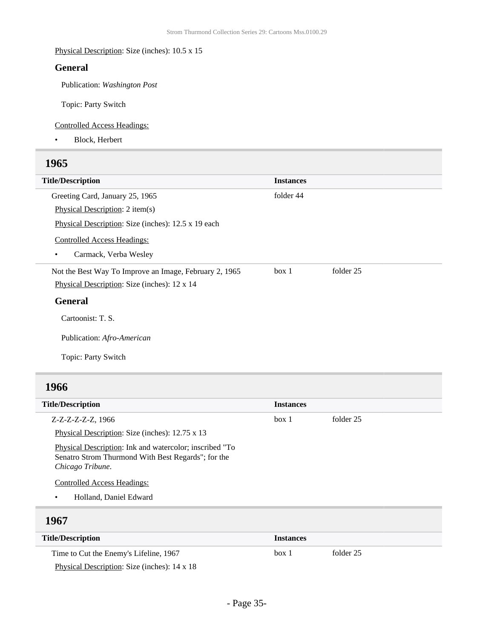#### Physical Description: Size (inches): 10.5 x 15

#### **General**

Publication: *Washington Post*

Topic: Party Switch

#### Controlled Access Headings:

• Block, Herbert

### **1965**

L

| <b>Title/Description</b>                               | <b>Instances</b> |           |  |
|--------------------------------------------------------|------------------|-----------|--|
| Greeting Card, January 25, 1965                        | folder 44        |           |  |
| Physical Description: 2 item(s)                        |                  |           |  |
| Physical Description: Size (inches): 12.5 x 19 each    |                  |           |  |
| <b>Controlled Access Headings:</b>                     |                  |           |  |
| Carmack, Verba Wesley<br>٠                             |                  |           |  |
| Not the Best Way To Improve an Image, February 2, 1965 | box 1            | folder 25 |  |
| Physical Description: Size (inches): 12 x 14           |                  |           |  |
| <b>General</b>                                         |                  |           |  |
| Cartoonist: T. S.                                      |                  |           |  |
| Publication: Afro-American                             |                  |           |  |
| Topic: Party Switch                                    |                  |           |  |

### **1966**

| <b>Title/Description</b>                                                                                                          | <b>Instances</b> |           |
|-----------------------------------------------------------------------------------------------------------------------------------|------------------|-----------|
| Z-Z-Z-Z-Z-Z, 1966                                                                                                                 | box 1            | folder 25 |
| Physical Description: Size (inches): 12.75 x 13                                                                                   |                  |           |
| Physical Description: Ink and watercolor; inscribed "To<br>Senatro Strom Thurmond With Best Regards"; for the<br>Chicago Tribune. |                  |           |
| <b>Controlled Access Headings:</b>                                                                                                |                  |           |
| Holland, Daniel Edward<br>$\bullet$                                                                                               |                  |           |
| <b>1967</b>                                                                                                                       |                  |           |
| <b>Title/Description</b>                                                                                                          | <b>Instances</b> |           |
| Time to Cut the Enemy's Lifeline, 1967                                                                                            | box 1            | folder 25 |
| Physical Description: Size (inches): 14 x 18                                                                                      |                  |           |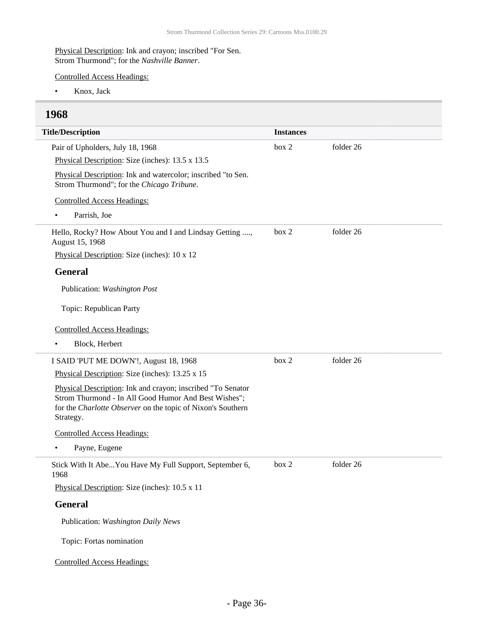Physical Description: Ink and crayon; inscribed "For Sen. Strom Thurmond"; for the *Nashville Banner*.

Controlled Access Headings:

• Knox, Jack

### **1968**

| <b>Title/Description</b>                                                                                                                                                                        | <b>Instances</b> |           |
|-------------------------------------------------------------------------------------------------------------------------------------------------------------------------------------------------|------------------|-----------|
| Pair of Upholders, July 18, 1968                                                                                                                                                                | box 2            | folder 26 |
| Physical Description: Size (inches): 13.5 x 13.5                                                                                                                                                |                  |           |
| Physical Description: Ink and watercolor; inscribed "to Sen.<br>Strom Thurmond"; for the Chicago Tribune.                                                                                       |                  |           |
| <b>Controlled Access Headings:</b>                                                                                                                                                              |                  |           |
| Parrish, Joe                                                                                                                                                                                    |                  |           |
| Hello, Rocky? How About You and I and Lindsay Getting ,<br>August 15, 1968                                                                                                                      | box 2            | folder 26 |
| Physical Description: Size (inches): 10 x 12                                                                                                                                                    |                  |           |
| <b>General</b>                                                                                                                                                                                  |                  |           |
| Publication: Washington Post                                                                                                                                                                    |                  |           |
| Topic: Republican Party                                                                                                                                                                         |                  |           |
| <b>Controlled Access Headings:</b>                                                                                                                                                              |                  |           |
| Block, Herbert<br>$\bullet$                                                                                                                                                                     |                  |           |
| I SAID 'PUT ME DOWN'!, August 18, 1968                                                                                                                                                          | box 2            | folder 26 |
| Physical Description: Size (inches): 13.25 x 15                                                                                                                                                 |                  |           |
| Physical Description: Ink and crayon; inscribed "To Senator<br>Strom Thurmond - In All Good Humor And Best Wishes";<br>for the Charlotte Observer on the topic of Nixon's Southern<br>Strategy. |                  |           |
| <b>Controlled Access Headings:</b>                                                                                                                                                              |                  |           |
| Payne, Eugene<br>$\bullet$                                                                                                                                                                      |                  |           |
| Stick With It Abe You Have My Full Support, September 6,<br>1968                                                                                                                                | box 2            | folder 26 |
| Physical Description: Size (inches): 10.5 x 11                                                                                                                                                  |                  |           |
| General                                                                                                                                                                                         |                  |           |
| Publication: Washington Daily News                                                                                                                                                              |                  |           |
| Topic: Fortas nomination                                                                                                                                                                        |                  |           |
| <b>Controlled Access Headings:</b>                                                                                                                                                              |                  |           |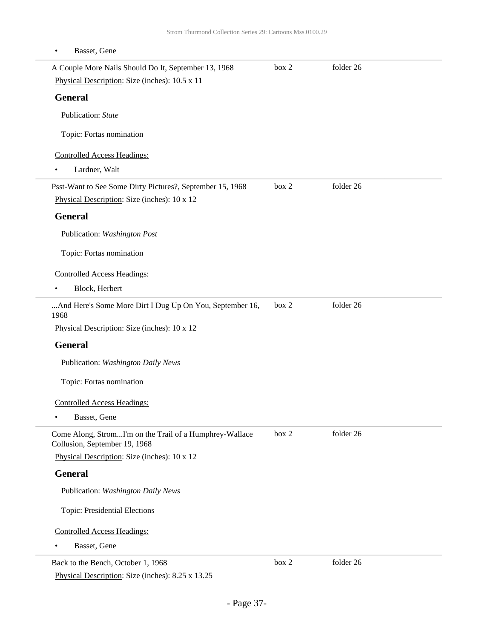| Basset, Gene<br>$\bullet$                                                                |       |           |  |
|------------------------------------------------------------------------------------------|-------|-----------|--|
| A Couple More Nails Should Do It, September 13, 1968                                     | box 2 | folder 26 |  |
| Physical Description: Size (inches): 10.5 x 11                                           |       |           |  |
| <b>General</b>                                                                           |       |           |  |
| Publication: State                                                                       |       |           |  |
| Topic: Fortas nomination                                                                 |       |           |  |
| <b>Controlled Access Headings:</b>                                                       |       |           |  |
| Lardner, Walt                                                                            |       |           |  |
| Psst-Want to See Some Dirty Pictures?, September 15, 1968                                | box 2 | folder 26 |  |
| Physical Description: Size (inches): 10 x 12                                             |       |           |  |
| <b>General</b>                                                                           |       |           |  |
| Publication: Washington Post                                                             |       |           |  |
| Topic: Fortas nomination                                                                 |       |           |  |
| <b>Controlled Access Headings:</b>                                                       |       |           |  |
| Block, Herbert<br>$\bullet$                                                              |       |           |  |
| And Here's Some More Dirt I Dug Up On You, September 16,<br>1968                         | box 2 | folder 26 |  |
| Physical Description: Size (inches): 10 x 12                                             |       |           |  |
| <b>General</b>                                                                           |       |           |  |
| Publication: Washington Daily News                                                       |       |           |  |
| Topic: Fortas nomination                                                                 |       |           |  |
| <b>Controlled Access Headings:</b>                                                       |       |           |  |
| Basset, Gene<br>$\bullet$                                                                |       |           |  |
| Come Along, StromI'm on the Trail of a Humphrey-Wallace<br>Collusion, September 19, 1968 | box 2 | folder 26 |  |
| Physical Description: Size (inches): 10 x 12                                             |       |           |  |
| <b>General</b>                                                                           |       |           |  |
| Publication: Washington Daily News                                                       |       |           |  |
| Topic: Presidential Elections                                                            |       |           |  |
| <b>Controlled Access Headings:</b>                                                       |       |           |  |
| Basset, Gene                                                                             |       |           |  |
| Back to the Bench, October 1, 1968                                                       | box 2 | folder 26 |  |
| Physical Description: Size (inches): 8.25 x 13.25                                        |       |           |  |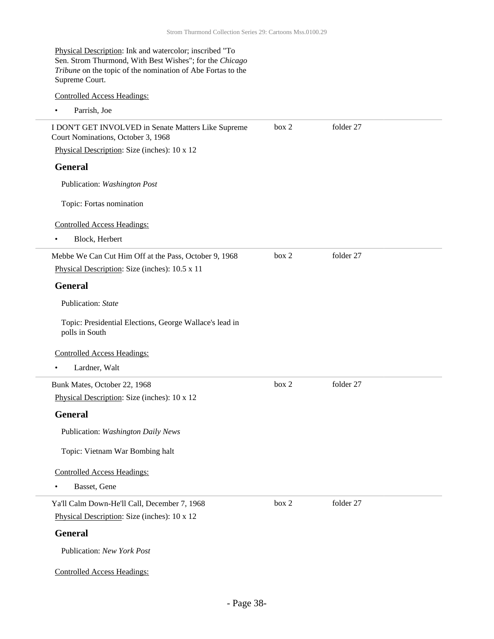Physical Description: Ink and watercolor; inscribed "To Sen. Strom Thurmond, With Best Wishes"; for the *Chicago Tribune* on the topic of the nomination of Abe Fortas to the Supreme Court.

Controlled Access Headings:

• Parrish, Joe

| I DON'T GET INVOLVED in Senate Matters Like Supreme<br>Court Nominations, October 3, 1968 | box 2 | folder 27 |  |
|-------------------------------------------------------------------------------------------|-------|-----------|--|
| Physical Description: Size (inches): 10 x 12                                              |       |           |  |
| <b>General</b>                                                                            |       |           |  |
| Publication: Washington Post                                                              |       |           |  |
| Topic: Fortas nomination                                                                  |       |           |  |
| <b>Controlled Access Headings:</b>                                                        |       |           |  |
| Block, Herbert                                                                            |       |           |  |
| Mebbe We Can Cut Him Off at the Pass, October 9, 1968                                     | box 2 | folder 27 |  |
| Physical Description: Size (inches): 10.5 x 11                                            |       |           |  |
| <b>General</b>                                                                            |       |           |  |
| Publication: State                                                                        |       |           |  |
| Topic: Presidential Elections, George Wallace's lead in<br>polls in South                 |       |           |  |
| <b>Controlled Access Headings:</b>                                                        |       |           |  |
| Lardner, Walt<br>٠                                                                        |       |           |  |
| Bunk Mates, October 22, 1968                                                              | box 2 | folder 27 |  |
| Physical Description: Size (inches): 10 x 12                                              |       |           |  |
| <b>General</b>                                                                            |       |           |  |
| Publication: Washington Daily News                                                        |       |           |  |
| Topic: Vietnam War Bombing halt                                                           |       |           |  |
| <b>Controlled Access Headings:</b>                                                        |       |           |  |
| Basset, Gene                                                                              |       |           |  |
| Ya'll Calm Down-He'll Call, December 7, 1968                                              | box 2 | folder 27 |  |
| Physical Description: Size (inches): 10 x 12                                              |       |           |  |
| General                                                                                   |       |           |  |
| Publication: New York Post                                                                |       |           |  |
| <b>Controlled Access Headings:</b>                                                        |       |           |  |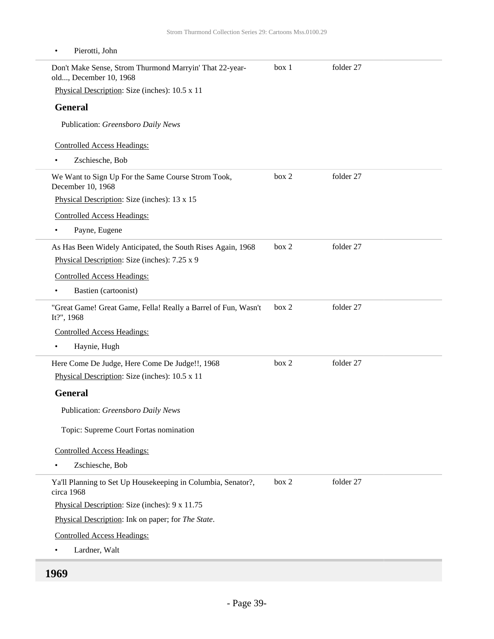<span id="page-38-0"></span>

| Pierotti, John<br>$\bullet$                                                       |       |           |
|-----------------------------------------------------------------------------------|-------|-----------|
| Don't Make Sense, Strom Thurmond Marryin' That 22-year-<br>old, December 10, 1968 | box 1 | folder 27 |
| Physical Description: Size (inches): 10.5 x 11                                    |       |           |
| <b>General</b>                                                                    |       |           |
| Publication: Greensboro Daily News                                                |       |           |
| <b>Controlled Access Headings:</b>                                                |       |           |
| Zschiesche, Bob<br>$\bullet$                                                      |       |           |
| We Want to Sign Up For the Same Course Strom Took,<br>December 10, 1968           | box 2 | folder 27 |
| Physical Description: Size (inches): 13 x 15                                      |       |           |
| <b>Controlled Access Headings:</b>                                                |       |           |
| Payne, Eugene<br>$\bullet$                                                        |       |           |
| As Has Been Widely Anticipated, the South Rises Again, 1968                       | box 2 | folder 27 |
| Physical Description: Size (inches): 7.25 x 9                                     |       |           |
| <b>Controlled Access Headings:</b>                                                |       |           |
| Bastien (cartoonist)<br>$\bullet$                                                 |       |           |
| "Great Game! Great Game, Fella! Really a Barrel of Fun, Wasn't<br>It?", 1968      | box 2 | folder 27 |
| <b>Controlled Access Headings:</b>                                                |       |           |
| Haynie, Hugh<br>$\bullet$                                                         |       |           |
| Here Come De Judge, Here Come De Judge!!, 1968                                    | box 2 | folder 27 |
| Physical Description: Size (inches): 10.5 x 11                                    |       |           |
| <b>General</b>                                                                    |       |           |
| Publication: Greensboro Daily News                                                |       |           |
| Topic: Supreme Court Fortas nomination                                            |       |           |
| <b>Controlled Access Headings:</b>                                                |       |           |
| Zschiesche, Bob<br>$\bullet$                                                      |       |           |
| Ya'll Planning to Set Up Housekeeping in Columbia, Senator?,<br>circa 1968        | box 2 | folder 27 |
| Physical Description: Size (inches): 9 x 11.75                                    |       |           |
| Physical Description: Ink on paper; for The State.                                |       |           |
| <b>Controlled Access Headings:</b>                                                |       |           |
| Lardner, Walt<br>$\bullet$                                                        |       |           |
| 1969                                                                              |       |           |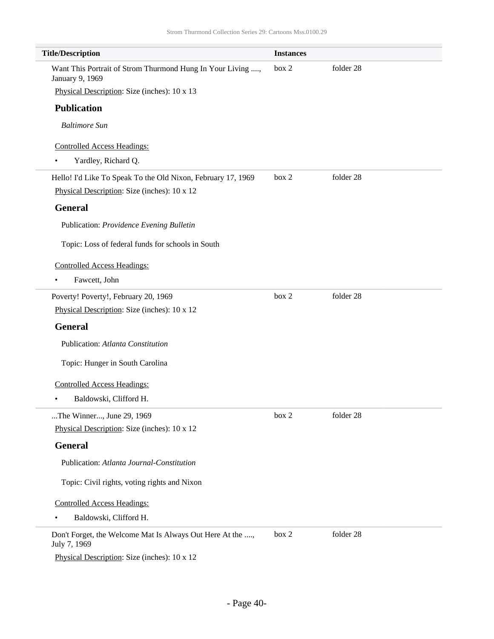| <b>Title/Description</b>                                                                                     | <b>Instances</b> |           |
|--------------------------------------------------------------------------------------------------------------|------------------|-----------|
| Want This Portrait of Strom Thurmond Hung In Your Living ,<br>January 9, 1969                                | box 2            | folder 28 |
| Physical Description: Size (inches): 10 x 13                                                                 |                  |           |
| <b>Publication</b>                                                                                           |                  |           |
| <b>Baltimore Sun</b>                                                                                         |                  |           |
| <b>Controlled Access Headings:</b>                                                                           |                  |           |
| Yardley, Richard Q.<br>$\bullet$                                                                             |                  |           |
| Hello! I'd Like To Speak To the Old Nixon, February 17, 1969<br>Physical Description: Size (inches): 10 x 12 | box 2            | folder 28 |
| <b>General</b>                                                                                               |                  |           |
| Publication: Providence Evening Bulletin                                                                     |                  |           |
| Topic: Loss of federal funds for schools in South                                                            |                  |           |
| <b>Controlled Access Headings:</b>                                                                           |                  |           |
| Fawcett, John<br>$\bullet$                                                                                   |                  |           |
| Poverty! Poverty!, February 20, 1969                                                                         | box 2            | folder 28 |
| Physical Description: Size (inches): 10 x 12                                                                 |                  |           |
| <b>General</b>                                                                                               |                  |           |
| Publication: Atlanta Constitution                                                                            |                  |           |
| Topic: Hunger in South Carolina                                                                              |                  |           |
| <b>Controlled Access Headings:</b>                                                                           |                  |           |
| Baldowski, Clifford H.<br>٠                                                                                  |                  |           |
| The Winner, June 29, 1969                                                                                    | box 2            | folder 28 |
| Physical Description: Size (inches): 10 x 12                                                                 |                  |           |
| <b>General</b>                                                                                               |                  |           |
| Publication: Atlanta Journal-Constitution                                                                    |                  |           |
| Topic: Civil rights, voting rights and Nixon                                                                 |                  |           |
| <b>Controlled Access Headings:</b>                                                                           |                  |           |
| Baldowski, Clifford H.                                                                                       |                  |           |
| Don't Forget, the Welcome Mat Is Always Out Here At the ,<br>July 7, 1969                                    | box 2            | folder 28 |
| Physical Description: Size (inches): 10 x 12                                                                 |                  |           |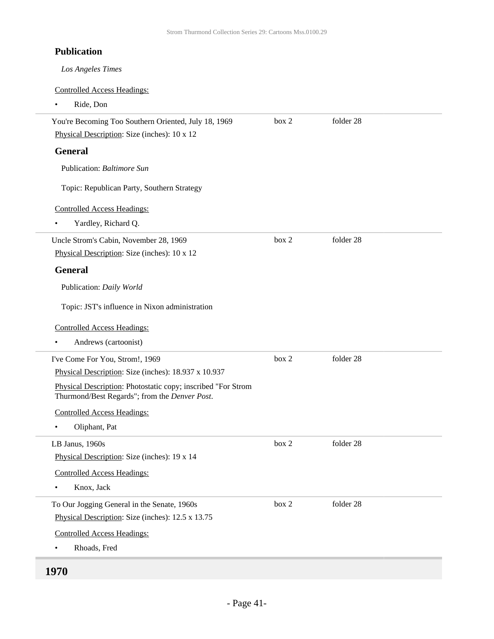### **Publication**

*Los Angeles Times*

Controlled Access Headings:

• Ride, Don

<span id="page-40-0"></span>

| You're Becoming Too Southern Oriented, July 18, 1969                                                          | box 2 | folder 28 |  |
|---------------------------------------------------------------------------------------------------------------|-------|-----------|--|
| Physical Description: Size (inches): 10 x 12                                                                  |       |           |  |
| <b>General</b>                                                                                                |       |           |  |
| Publication: Baltimore Sun                                                                                    |       |           |  |
| Topic: Republican Party, Southern Strategy                                                                    |       |           |  |
| <b>Controlled Access Headings:</b>                                                                            |       |           |  |
| Yardley, Richard Q.<br>$\bullet$                                                                              |       |           |  |
| Uncle Strom's Cabin, November 28, 1969                                                                        | box 2 | folder 28 |  |
| Physical Description: Size (inches): 10 x 12                                                                  |       |           |  |
| <b>General</b>                                                                                                |       |           |  |
| Publication: Daily World                                                                                      |       |           |  |
| Topic: JST's influence in Nixon administration                                                                |       |           |  |
| <b>Controlled Access Headings:</b>                                                                            |       |           |  |
| Andrews (cartoonist)<br>$\bullet$                                                                             |       |           |  |
| I've Come For You, Strom!, 1969                                                                               | box 2 | folder 28 |  |
| Physical Description: Size (inches): 18.937 x 10.937                                                          |       |           |  |
| Physical Description: Photostatic copy; inscribed "For Strom<br>Thurmond/Best Regards"; from the Denver Post. |       |           |  |
| <b>Controlled Access Headings:</b>                                                                            |       |           |  |
| Oliphant, Pat<br>$\bullet$                                                                                    |       |           |  |
| LB Janus, 1960s                                                                                               | box 2 | folder 28 |  |
| Physical Description: Size (inches): 19 x 14                                                                  |       |           |  |
| <b>Controlled Access Headings:</b>                                                                            |       |           |  |
| Knox, Jack                                                                                                    |       |           |  |
| To Our Jogging General in the Senate, 1960s                                                                   | box 2 | folder 28 |  |
| Physical Description: Size (inches): 12.5 x 13.75                                                             |       |           |  |
| <b>Controlled Access Headings:</b>                                                                            |       |           |  |
| Rhoads, Fred                                                                                                  |       |           |  |
| 1970                                                                                                          |       |           |  |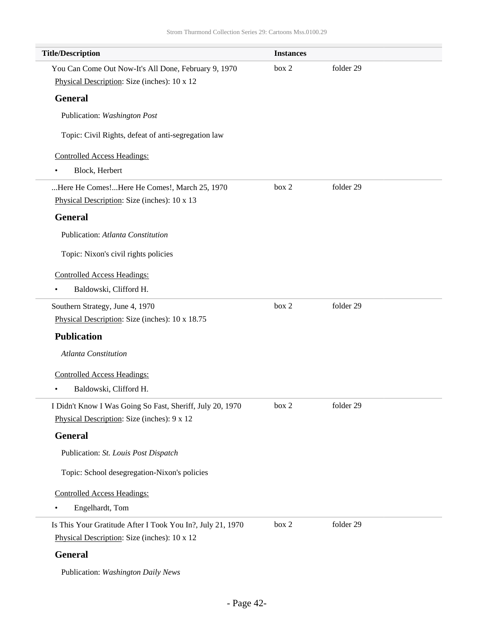| <b>Title/Description</b>                                                                                   | <b>Instances</b> |           |  |
|------------------------------------------------------------------------------------------------------------|------------------|-----------|--|
| You Can Come Out Now-It's All Done, February 9, 1970                                                       | box 2            | folder 29 |  |
| Physical Description: Size (inches): 10 x 12                                                               |                  |           |  |
| <b>General</b>                                                                                             |                  |           |  |
| Publication: Washington Post                                                                               |                  |           |  |
| Topic: Civil Rights, defeat of anti-segregation law                                                        |                  |           |  |
| <b>Controlled Access Headings:</b>                                                                         |                  |           |  |
| Block, Herbert<br>٠                                                                                        |                  |           |  |
| Here He Comes!Here He Comes!, March 25, 1970                                                               | box 2            | folder 29 |  |
| Physical Description: Size (inches): 10 x 13                                                               |                  |           |  |
| <b>General</b>                                                                                             |                  |           |  |
| Publication: Atlanta Constitution                                                                          |                  |           |  |
| Topic: Nixon's civil rights policies                                                                       |                  |           |  |
| <b>Controlled Access Headings:</b>                                                                         |                  |           |  |
| Baldowski, Clifford H.<br>$\bullet$                                                                        |                  |           |  |
| Southern Strategy, June 4, 1970                                                                            | box 2            | folder 29 |  |
| Physical Description: Size (inches): 10 x 18.75                                                            |                  |           |  |
| <b>Publication</b>                                                                                         |                  |           |  |
| <b>Atlanta Constitution</b>                                                                                |                  |           |  |
| <b>Controlled Access Headings:</b>                                                                         |                  |           |  |
| Baldowski, Clifford H.                                                                                     |                  |           |  |
| I Didn't Know I Was Going So Fast, Sheriff, July 20, 1970                                                  | box 2            | folder 29 |  |
| Physical Description: Size (inches): 9 x 12                                                                |                  |           |  |
| <b>General</b>                                                                                             |                  |           |  |
| Publication: St. Louis Post Dispatch                                                                       |                  |           |  |
| Topic: School desegregation-Nixon's policies                                                               |                  |           |  |
| <b>Controlled Access Headings:</b>                                                                         |                  |           |  |
| Engelhardt, Tom<br>٠                                                                                       |                  |           |  |
| Is This Your Gratitude After I Took You In?, July 21, 1970<br>Physical Description: Size (inches): 10 x 12 | box 2            | folder 29 |  |
| <b>General</b>                                                                                             |                  |           |  |
| Publication: Washington Daily News                                                                         |                  |           |  |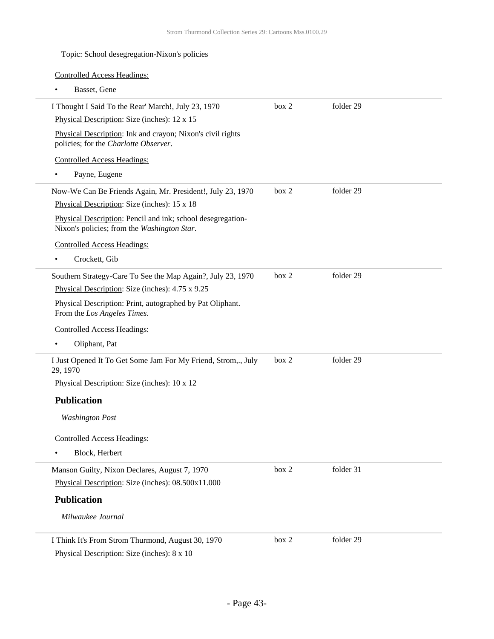### Topic: School desegregation-Nixon's policies Controlled Access Headings: • Basset, Gene I Thought I Said To the Rear' March!, July 23, 1970 Physical Description: Size (inches): 12 x 15 Physical Description: Ink and crayon; Nixon's civil rights policies; for the *Charlotte Observer*. Controlled Access Headings: Payne, Eugene box 2 folder 29 Now-We Can Be Friends Again, Mr. President!, July 23, 1970 Physical Description: Size (inches): 15 x 18 Physical Description: Pencil and ink; school desegregation-Nixon's policies; from the *Washington Star*. Controlled Access Headings: • Crockett, Gib box 2 folder 29 Southern Strategy-Care To See the Map Again?, July 23, 1970 Physical Description: Size (inches): 4.75 x 9.25 Physical Description: Print, autographed by Pat Oliphant. From the *Los Angeles Times*. Controlled Access Headings: • Oliphant, Pat box 2 folder 29 I Just Opened It To Get Some Jam For My Friend, Strom,., July 29, 1970 Physical Description: Size (inches): 10 x 12 **Publication** *Washington Post* Controlled Access Headings: • Block, Herbert box 2 folder 29 Manson Guilty, Nixon Declares, August 7, 1970 Physical Description: Size (inches): 08.500x11.000 **Publication** *Milwaukee Journal* box 2 folder 31 I Think It's From Strom Thurmond, August 30, 1970 Physical Description: Size (inches): 8 x 10 box 2 folder 29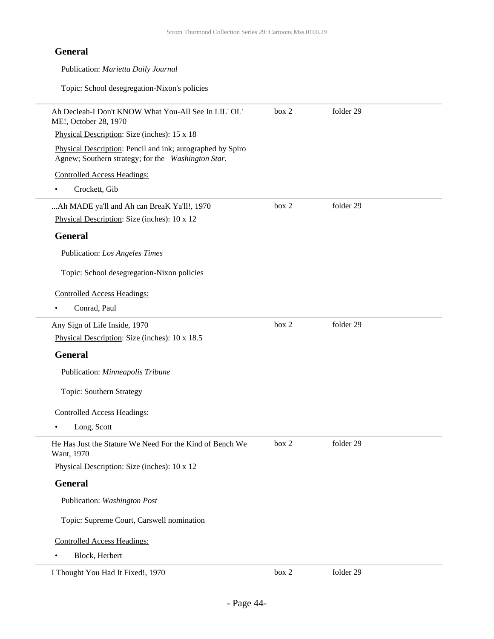### **General**

| Publication: Marietta Daily Journal                                                                              |       |           |  |
|------------------------------------------------------------------------------------------------------------------|-------|-----------|--|
| Topic: School desegregation-Nixon's policies                                                                     |       |           |  |
| Ah Decleah-I Don't KNOW What You-All See In LIL'OL'<br>ME!, October 28, 1970                                     | box 2 | folder 29 |  |
| Physical Description: Size (inches): 15 x 18                                                                     |       |           |  |
| Physical Description: Pencil and ink; autographed by Spiro<br>Agnew; Southern strategy; for the Washington Star. |       |           |  |
| <b>Controlled Access Headings:</b>                                                                               |       |           |  |
| Crockett, Gib                                                                                                    |       |           |  |
| Ah MADE ya'll and Ah can BreaK Ya'll!, 1970                                                                      | box 2 | folder 29 |  |
| Physical Description: Size (inches): 10 x 12                                                                     |       |           |  |
| <b>General</b>                                                                                                   |       |           |  |
| Publication: Los Angeles Times                                                                                   |       |           |  |
| Topic: School desegregation-Nixon policies                                                                       |       |           |  |
| <b>Controlled Access Headings:</b>                                                                               |       |           |  |
| Conrad, Paul<br>٠                                                                                                |       |           |  |
| Any Sign of Life Inside, 1970                                                                                    | box 2 | folder 29 |  |
| Physical Description: Size (inches): 10 x 18.5                                                                   |       |           |  |
| <b>General</b>                                                                                                   |       |           |  |
| Publication: Minneapolis Tribune                                                                                 |       |           |  |
| Topic: Southern Strategy                                                                                         |       |           |  |
| <b>Controlled Access Headings:</b>                                                                               |       |           |  |
| Long, Scott<br>٠                                                                                                 |       |           |  |
| He Has Just the Stature We Need For the Kind of Bench We<br>Want, 1970                                           | box 2 | folder 29 |  |
| Physical Description: Size (inches): 10 x 12                                                                     |       |           |  |
| <b>General</b>                                                                                                   |       |           |  |
| Publication: Washington Post                                                                                     |       |           |  |
| Topic: Supreme Court, Carswell nomination                                                                        |       |           |  |
| <b>Controlled Access Headings:</b>                                                                               |       |           |  |
| Block, Herbert<br>$\bullet$                                                                                      |       |           |  |
| I Thought You Had It Fixed!, 1970                                                                                | box 2 | folder 29 |  |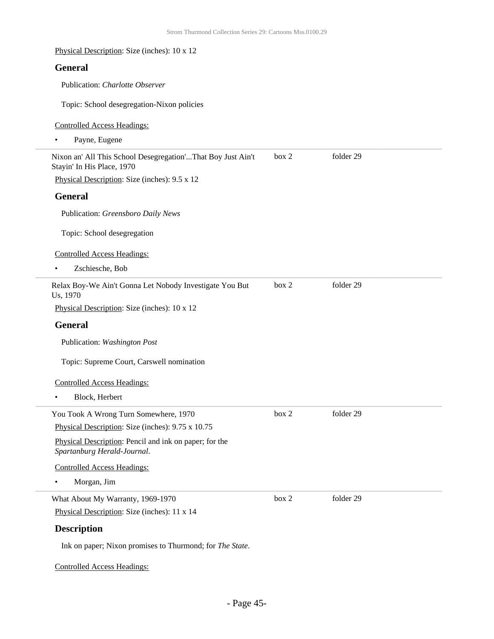#### Physical Description: Size (inches): 10 x 12

#### **General**

Publication: *Charlotte Observer*

Topic: School desegregation-Nixon policies

#### Controlled Access Headings:

• Payne, Eugene

| Nixon an' All This School Desegregation'That Boy Just Ain't<br>Stayin' In His Place, 1970 | box 2 | folder 29 |
|-------------------------------------------------------------------------------------------|-------|-----------|
| Physical Description: Size (inches): 9.5 x 12                                             |       |           |
| <b>General</b>                                                                            |       |           |
| Publication: Greensboro Daily News                                                        |       |           |
| Topic: School desegregation                                                               |       |           |
| <b>Controlled Access Headings:</b>                                                        |       |           |
| Zschiesche, Bob                                                                           |       |           |
| Relax Boy-We Ain't Gonna Let Nobody Investigate You But<br>Us, 1970                       | box 2 | folder 29 |
| Physical Description: Size (inches): 10 x 12                                              |       |           |
| <b>General</b>                                                                            |       |           |
| Publication: Washington Post                                                              |       |           |
| Topic: Supreme Court, Carswell nomination                                                 |       |           |
| <b>Controlled Access Headings:</b>                                                        |       |           |
| Block, Herbert                                                                            |       |           |
| You Took A Wrong Turn Somewhere, 1970                                                     | box 2 | folder 29 |
| Physical Description: Size (inches): 9.75 x 10.75                                         |       |           |
| Physical Description: Pencil and ink on paper; for the<br>Spartanburg Herald-Journal.     |       |           |
| <b>Controlled Access Headings:</b>                                                        |       |           |
| Morgan, Jim                                                                               |       |           |
| What About My Warranty, 1969-1970                                                         | box 2 | folder 29 |
| Physical Description: Size (inches): 11 x 14                                              |       |           |
| <b>Description</b><br>Ink on paper; Nixon promises to Thurmond; for The State.            |       |           |

Controlled Access Headings: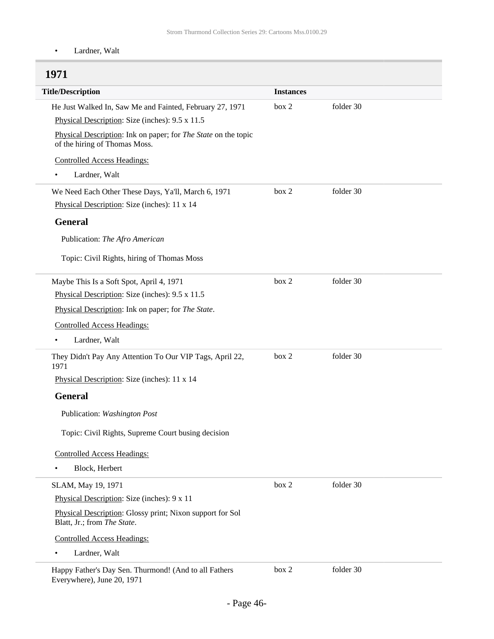• Lardner, Walt

### <span id="page-45-0"></span>**1971**

| <b>Title/Description</b>                                                                        | <b>Instances</b> |           |  |
|-------------------------------------------------------------------------------------------------|------------------|-----------|--|
| He Just Walked In, Saw Me and Fainted, February 27, 1971                                        | box 2            | folder 30 |  |
| Physical Description: Size (inches): 9.5 x 11.5                                                 |                  |           |  |
| Physical Description: Ink on paper; for The State on the topic<br>of the hiring of Thomas Moss. |                  |           |  |
| <b>Controlled Access Headings:</b>                                                              |                  |           |  |
| Lardner, Walt<br>$\bullet$                                                                      |                  |           |  |
| We Need Each Other These Days, Ya'll, March 6, 1971                                             | box 2            | folder 30 |  |
| Physical Description: Size (inches): 11 x 14                                                    |                  |           |  |
| <b>General</b>                                                                                  |                  |           |  |
| Publication: The Afro American                                                                  |                  |           |  |
| Topic: Civil Rights, hiring of Thomas Moss                                                      |                  |           |  |
| Maybe This Is a Soft Spot, April 4, 1971                                                        | box 2            | folder 30 |  |
| Physical Description: Size (inches): 9.5 x 11.5                                                 |                  |           |  |
| Physical Description: Ink on paper; for The State.                                              |                  |           |  |
| <b>Controlled Access Headings:</b>                                                              |                  |           |  |
| Lardner, Walt<br>$\bullet$                                                                      |                  |           |  |
| They Didn't Pay Any Attention To Our VIP Tags, April 22,<br>1971                                | box 2            | folder 30 |  |
| Physical Description: Size (inches): 11 x 14                                                    |                  |           |  |
| <b>General</b>                                                                                  |                  |           |  |
| Publication: Washington Post                                                                    |                  |           |  |
| Topic: Civil Rights, Supreme Court busing decision                                              |                  |           |  |
| <b>Controlled Access Headings:</b>                                                              |                  |           |  |
| Block, Herbert                                                                                  |                  |           |  |
| SLAM, May 19, 1971                                                                              | box 2            | folder 30 |  |
| Physical Description: Size (inches): 9 x 11                                                     |                  |           |  |
| Physical Description: Glossy print; Nixon support for Sol<br>Blatt, Jr.; from The State.        |                  |           |  |
| <b>Controlled Access Headings:</b>                                                              |                  |           |  |
| Lardner, Walt<br>$\bullet$                                                                      |                  |           |  |
| Happy Father's Day Sen. Thurmond! (And to all Fathers<br>Everywhere), June 20, 1971             | box 2            | folder 30 |  |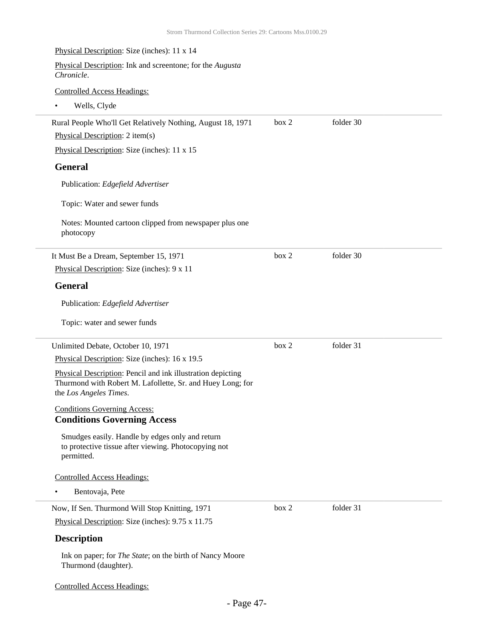| Physical Description: Size (inches): 11 x 14                                                                                                        |       |           |  |
|-----------------------------------------------------------------------------------------------------------------------------------------------------|-------|-----------|--|
| Physical Description: Ink and screentone; for the Augusta<br>Chronicle.                                                                             |       |           |  |
| <b>Controlled Access Headings:</b>                                                                                                                  |       |           |  |
| Wells, Clyde                                                                                                                                        |       |           |  |
| Rural People Who'll Get Relatively Nothing, August 18, 1971                                                                                         | box 2 | folder 30 |  |
| Physical Description: 2 item(s)                                                                                                                     |       |           |  |
| Physical Description: Size (inches): 11 x 15                                                                                                        |       |           |  |
| <b>General</b>                                                                                                                                      |       |           |  |
| Publication: Edgefield Advertiser                                                                                                                   |       |           |  |
| Topic: Water and sewer funds                                                                                                                        |       |           |  |
| Notes: Mounted cartoon clipped from newspaper plus one<br>photocopy                                                                                 |       |           |  |
| It Must Be a Dream, September 15, 1971                                                                                                              | box 2 | folder 30 |  |
| Physical Description: Size (inches): 9 x 11                                                                                                         |       |           |  |
| <b>General</b>                                                                                                                                      |       |           |  |
| Publication: Edgefield Advertiser                                                                                                                   |       |           |  |
|                                                                                                                                                     |       |           |  |
| Topic: water and sewer funds                                                                                                                        |       |           |  |
| Unlimited Debate, October 10, 1971                                                                                                                  | box 2 | folder 31 |  |
| Physical Description: Size (inches): 16 x 19.5                                                                                                      |       |           |  |
| Physical Description: Pencil and ink illustration depicting<br>Thurmond with Robert M. Lafollette, Sr. and Huey Long; for<br>the Los Angeles Times. |       |           |  |
| <b>Conditions Governing Access:</b><br><b>Conditions Governing Access</b>                                                                           |       |           |  |
| Smudges easily. Handle by edges only and return<br>to protective tissue after viewing. Photocopying not<br>permitted.                               |       |           |  |
| <b>Controlled Access Headings:</b>                                                                                                                  |       |           |  |
| Bentovaja, Pete<br>$\bullet$                                                                                                                        |       |           |  |
| Now, If Sen. Thurmond Will Stop Knitting, 1971                                                                                                      | box 2 | folder 31 |  |
| Physical Description: Size (inches): 9.75 x 11.75                                                                                                   |       |           |  |
| <b>Description</b>                                                                                                                                  |       |           |  |

Controlled Access Headings: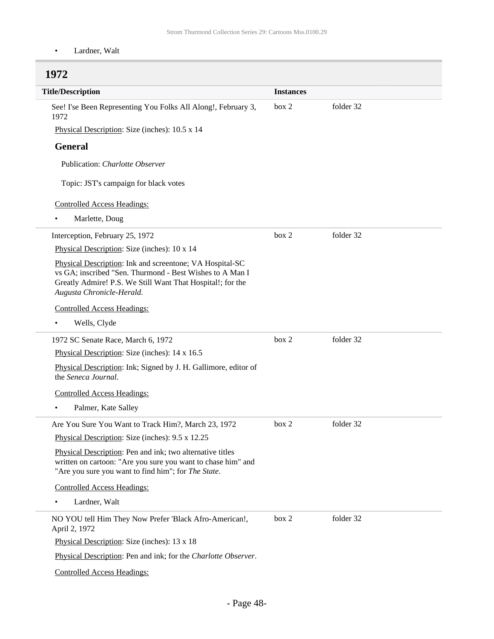• Lardner, Walt

### **1972**

<span id="page-47-0"></span>

| 1914                                                                                                                                                                                                            |                  |           |
|-----------------------------------------------------------------------------------------------------------------------------------------------------------------------------------------------------------------|------------------|-----------|
| <b>Title/Description</b>                                                                                                                                                                                        | <b>Instances</b> |           |
| See! I'se Been Representing You Folks All Along!, February 3,<br>1972                                                                                                                                           | box 2            | folder 32 |
| Physical Description: Size (inches): 10.5 x 14                                                                                                                                                                  |                  |           |
| <b>General</b>                                                                                                                                                                                                  |                  |           |
| Publication: Charlotte Observer                                                                                                                                                                                 |                  |           |
| Topic: JST's campaign for black votes                                                                                                                                                                           |                  |           |
| <b>Controlled Access Headings:</b>                                                                                                                                                                              |                  |           |
| Marlette, Doug                                                                                                                                                                                                  |                  |           |
| Interception, February 25, 1972                                                                                                                                                                                 | box 2            | folder 32 |
| Physical Description: Size (inches): 10 x 14                                                                                                                                                                    |                  |           |
| Physical Description: Ink and screentone; VA Hospital-SC<br>vs GA; inscribed "Sen. Thurmond - Best Wishes to A Man I<br>Greatly Admire! P.S. We Still Want That Hospital!; for the<br>Augusta Chronicle-Herald. |                  |           |
| <b>Controlled Access Headings:</b>                                                                                                                                                                              |                  |           |
| Wells, Clyde                                                                                                                                                                                                    |                  |           |
| 1972 SC Senate Race, March 6, 1972                                                                                                                                                                              | box 2            | folder 32 |
| Physical Description: Size (inches): 14 x 16.5                                                                                                                                                                  |                  |           |
| Physical Description: Ink; Signed by J. H. Gallimore, editor of<br>the Seneca Journal.                                                                                                                          |                  |           |
| <b>Controlled Access Headings:</b>                                                                                                                                                                              |                  |           |
| Palmer, Kate Salley                                                                                                                                                                                             |                  |           |
| Are You Sure You Want to Track Him?, March 23, 1972                                                                                                                                                             | box 2            | folder 32 |
| Physical Description: Size (inches): 9.5 x 12.25                                                                                                                                                                |                  |           |
| Physical Description: Pen and ink; two alternative titles<br>written on cartoon: "Are you sure you want to chase him" and<br>"Are you sure you want to find him"; for The State.                                |                  |           |
| <b>Controlled Access Headings:</b>                                                                                                                                                                              |                  |           |
| Lardner, Walt                                                                                                                                                                                                   |                  |           |
| NO YOU tell Him They Now Prefer 'Black Afro-American!,<br>April 2, 1972                                                                                                                                         | box 2            | folder 32 |
| Physical Description: Size (inches): 13 x 18                                                                                                                                                                    |                  |           |
| Physical Description: Pen and ink; for the Charlotte Observer.                                                                                                                                                  |                  |           |
|                                                                                                                                                                                                                 |                  |           |

Controlled Access Headings: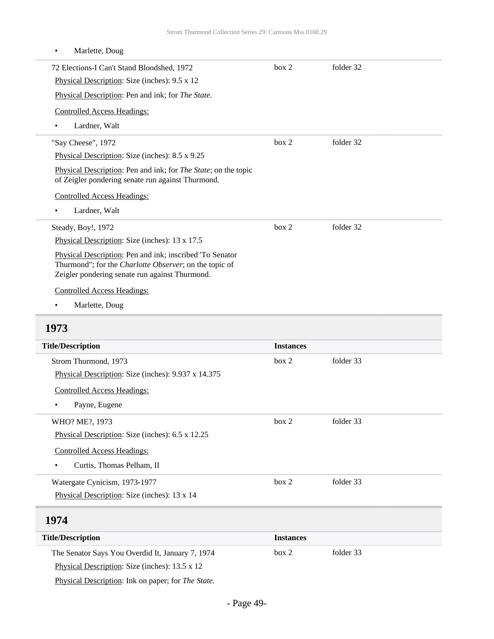• Marlette, Doug

| 72 Elections-I Can't Stand Bloodshed, 1972                                                                                                                           | box 2            | folder 32 |
|----------------------------------------------------------------------------------------------------------------------------------------------------------------------|------------------|-----------|
| Physical Description: Size (inches): 9.5 x 12                                                                                                                        |                  |           |
| Physical Description: Pen and ink; for The State.                                                                                                                    |                  |           |
| <b>Controlled Access Headings:</b>                                                                                                                                   |                  |           |
| Lardner, Walt<br>$\bullet$                                                                                                                                           |                  |           |
| "Say Cheese", 1972                                                                                                                                                   | box 2            | folder 32 |
| Physical Description: Size (inches): 8.5 x 9.25                                                                                                                      |                  |           |
| Physical Description: Pen and ink; for <i>The State</i> ; on the topic<br>of Zeigler pondering senate run against Thurmond.                                          |                  |           |
| <b>Controlled Access Headings:</b>                                                                                                                                   |                  |           |
| Lardner, Walt<br>٠                                                                                                                                                   |                  |           |
| Steady, Boy!, 1972                                                                                                                                                   | box 2            | folder 32 |
| Physical Description: Size (inches): 13 x 17.5                                                                                                                       |                  |           |
| Physical Description: Pen and ink; inscribed 'To Senator<br>Thurmond"; for the Charlotte Observer; on the topic of<br>Zeigler pondering senate run against Thurmond. |                  |           |
| <b>Controlled Access Headings:</b>                                                                                                                                   |                  |           |
| Marlette, Doug<br>$\bullet$                                                                                                                                          |                  |           |
|                                                                                                                                                                      |                  |           |
| 1973                                                                                                                                                                 |                  |           |
| <b>Title/Description</b>                                                                                                                                             | <b>Instances</b> |           |
| Strom Thurmond, 1973                                                                                                                                                 | box 2            | folder 33 |
| Physical Description: Size (inches): 9.937 x 14.375                                                                                                                  |                  |           |
| <b>Controlled Access Headings:</b>                                                                                                                                   |                  |           |
| Payne, Eugene                                                                                                                                                        |                  |           |
| WHO? ME?, 1973                                                                                                                                                       | box 2            | folder 33 |
| Physical Description: Size (inches): 6.5 x 12.25                                                                                                                     |                  |           |
| <b>Controlled Access Headings:</b>                                                                                                                                   |                  |           |
| Curtis, Thomas Pelham, II<br>$\bullet$                                                                                                                               |                  |           |
| Watergate Cynicism, 1973-1977                                                                                                                                        | box 2            | folder 33 |
| Physical Description: Size (inches): 13 x 14                                                                                                                         |                  |           |
| 1974                                                                                                                                                                 |                  |           |
| <b>Title/Description</b>                                                                                                                                             | <b>Instances</b> |           |
| The Senator Says You Overdid It, January 7, 1974<br>Physical Description: Size (inches): 13.5 x 12                                                                   | box 2            | folder 33 |

<span id="page-48-1"></span><span id="page-48-0"></span>Physical Description: Ink on paper; for *The State*.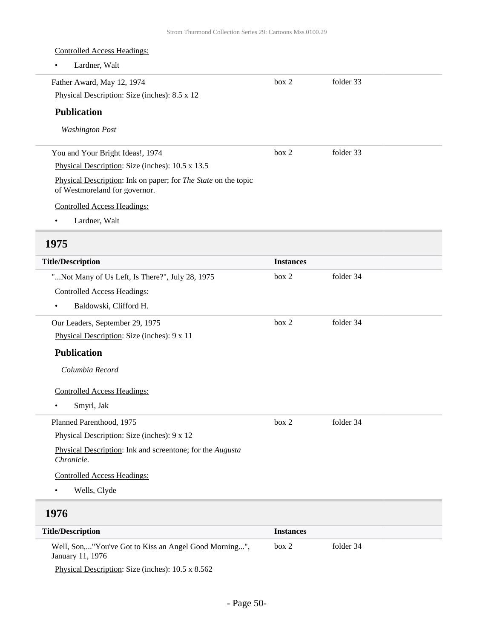Controlled Access Headings:

<span id="page-49-0"></span>

| Lardner, Walt<br>$\bullet$                                                                      |                  |           |  |
|-------------------------------------------------------------------------------------------------|------------------|-----------|--|
| Father Award, May 12, 1974                                                                      | box 2            | folder 33 |  |
| Physical Description: Size (inches): 8.5 x 12                                                   |                  |           |  |
| <b>Publication</b>                                                                              |                  |           |  |
| <b>Washington Post</b>                                                                          |                  |           |  |
| You and Your Bright Ideas!, 1974                                                                | box 2            | folder 33 |  |
| Physical Description: Size (inches): 10.5 x 13.5                                                |                  |           |  |
| Physical Description: Ink on paper; for The State on the topic<br>of Westmoreland for governor. |                  |           |  |
| <b>Controlled Access Headings:</b>                                                              |                  |           |  |
| Lardner, Walt<br>$\bullet$                                                                      |                  |           |  |
| 1975                                                                                            |                  |           |  |
| <b>Title/Description</b>                                                                        | <b>Instances</b> |           |  |
| "Not Many of Us Left, Is There?", July 28, 1975                                                 | box 2            | folder 34 |  |
| <b>Controlled Access Headings:</b>                                                              |                  |           |  |
| Baldowski, Clifford H.<br>$\bullet$                                                             |                  |           |  |
| Our Leaders, September 29, 1975                                                                 | box 2            | folder 34 |  |
| Physical Description: Size (inches): 9 x 11                                                     |                  |           |  |
| <b>Publication</b>                                                                              |                  |           |  |
| Columbia Record                                                                                 |                  |           |  |
| <b>Controlled Access Headings:</b>                                                              |                  |           |  |
| Smyrl, Jak                                                                                      |                  |           |  |
| Planned Parenthood, 1975                                                                        | box 2            | folder 34 |  |
| Physical Description: Size (inches): 9 x 12                                                     |                  |           |  |
| Physical Description: Ink and screentone; for the Augusta<br>Chronicle.                         |                  |           |  |
| <b>Controlled Access Headings:</b>                                                              |                  |           |  |
| Wells, Clyde                                                                                    |                  |           |  |
| 1976                                                                                            |                  |           |  |
| <b>Title/Description</b>                                                                        | <b>Instances</b> |           |  |
| Well, Son,"You've Got to Kiss an Angel Good Morning",                                           | box 2            | folder 34 |  |

<span id="page-49-1"></span>January 11, 1976

Physical Description: Size (inches): 10.5 x 8.562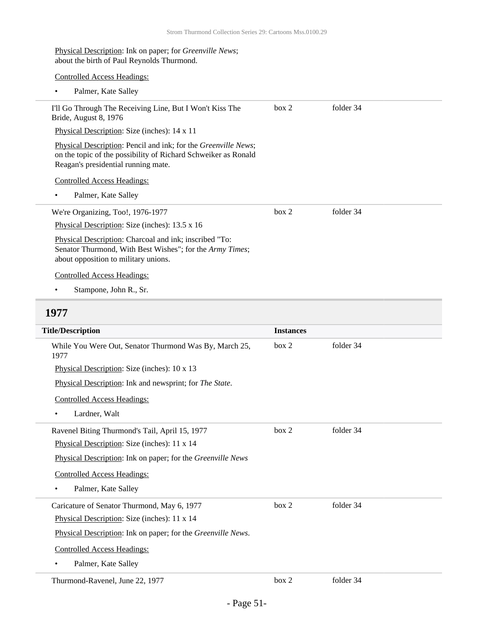#### Physical Description: Ink on paper; for *Greenville News*; about the birth of Paul Reynolds Thurmond.

#### Controlled Access Headings:

• Palmer, Kate Salley

| I'll Go Through The Receiving Line, But I Won't Kiss The<br>Bride, August 8, 1976                                                                                              | box 2 | folder 34 |
|--------------------------------------------------------------------------------------------------------------------------------------------------------------------------------|-------|-----------|
| Physical Description: Size (inches): 14 x 11                                                                                                                                   |       |           |
| <b>Physical Description: Pencil and ink; for the Greenville News;</b><br>on the topic of the possibility of Richard Schweiker as Ronald<br>Reagan's presidential running mate. |       |           |
| <b>Controlled Access Headings:</b>                                                                                                                                             |       |           |
| Palmer, Kate Salley<br>٠                                                                                                                                                       |       |           |
| We're Organizing, Too!, 1976-1977                                                                                                                                              | box 2 | folder 34 |
| Physical Description: Size (inches): 13.5 x 16                                                                                                                                 |       |           |
| Physical Description: Charcoal and ink; inscribed "To:<br>Senator Thurmond, With Best Wishes"; for the Army Times;<br>about opposition to military unions.                     |       |           |
| Controlled Access Headings:                                                                                                                                                    |       |           |
| Stampone, John R., Sr.<br>٠                                                                                                                                                    |       |           |
| 1977                                                                                                                                                                           |       |           |

<span id="page-50-0"></span>

| <b>Title/Description</b>                                       | <b>Instances</b> |           |
|----------------------------------------------------------------|------------------|-----------|
| While You Were Out, Senator Thurmond Was By, March 25,<br>1977 | box 2            | folder 34 |
| Physical Description: Size (inches): 10 x 13                   |                  |           |
| Physical Description: Ink and newsprint; for The State.        |                  |           |
| <b>Controlled Access Headings:</b>                             |                  |           |
| Lardner, Walt<br>$\bullet$                                     |                  |           |
| Ravenel Biting Thurmond's Tail, April 15, 1977                 | box 2            | folder 34 |
| Physical Description: Size (inches): 11 x 14                   |                  |           |
| Physical Description: Ink on paper; for the Greenville News    |                  |           |
| <b>Controlled Access Headings:</b>                             |                  |           |
| Palmer, Kate Salley<br>$\bullet$                               |                  |           |
| Caricature of Senator Thurmond, May 6, 1977                    | box 2            | folder 34 |
| Physical Description: Size (inches): 11 x 14                   |                  |           |
| Physical Description: Ink on paper; for the Greenville News.   |                  |           |
| <b>Controlled Access Headings:</b>                             |                  |           |
| Palmer, Kate Salley<br>$\bullet$                               |                  |           |
| Thurmond-Ravenel, June 22, 1977                                | box 2            | folder 34 |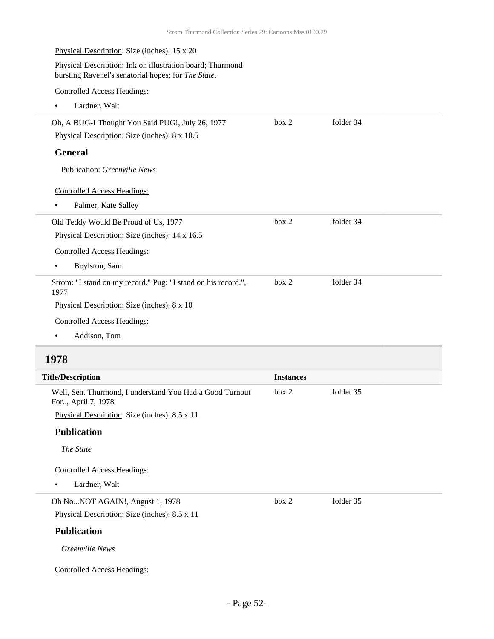| Physical Description: Size (inches): 15 x 20                                                                     |                  |           |  |
|------------------------------------------------------------------------------------------------------------------|------------------|-----------|--|
| Physical Description: Ink on illustration board; Thurmond<br>bursting Ravenel's senatorial hopes; for The State. |                  |           |  |
| <b>Controlled Access Headings:</b>                                                                               |                  |           |  |
| Lardner, Walt<br>٠                                                                                               |                  |           |  |
| Oh, A BUG-I Thought You Said PUG!, July 26, 1977                                                                 | box 2            | folder 34 |  |
| Physical Description: Size (inches): 8 x 10.5                                                                    |                  |           |  |
| <b>General</b>                                                                                                   |                  |           |  |
| Publication: Greenville News                                                                                     |                  |           |  |
| <b>Controlled Access Headings:</b>                                                                               |                  |           |  |
| Palmer, Kate Salley<br>$\bullet$                                                                                 |                  |           |  |
| Old Teddy Would Be Proud of Us, 1977                                                                             | box 2            | folder 34 |  |
| Physical Description: Size (inches): 14 x 16.5                                                                   |                  |           |  |
| <b>Controlled Access Headings:</b>                                                                               |                  |           |  |
| Boylston, Sam<br>$\bullet$                                                                                       |                  |           |  |
| Strom: "I stand on my record." Pug: "I stand on his record.",<br>1977                                            | box 2            | folder 34 |  |
| Physical Description: Size (inches): 8 x 10                                                                      |                  |           |  |
| <b>Controlled Access Headings:</b>                                                                               |                  |           |  |
| Addison, Tom<br>$\bullet$                                                                                        |                  |           |  |
| 1978                                                                                                             |                  |           |  |
| <b>Title/Description</b>                                                                                         | <b>Instances</b> |           |  |
| Well, Sen. Thurmond, I understand You Had a Good Turnout<br>For, April 7, 1978                                   | box 2            | folder 35 |  |
| Physical Description: Size (inches): 8.5 x 11                                                                    |                  |           |  |
| <b>Publication</b>                                                                                               |                  |           |  |
| The State                                                                                                        |                  |           |  |
| <b>Controlled Access Headings:</b>                                                                               |                  |           |  |
| Lardner, Walt<br>$\bullet$                                                                                       |                  |           |  |
| Oh NoNOT AGAIN!, August 1, 1978                                                                                  | box 2            | folder 35 |  |

<span id="page-51-0"></span>Physical Description: Size (inches): 8.5 x 11

#### **Publication**

*Greenville News*

Controlled Access Headings: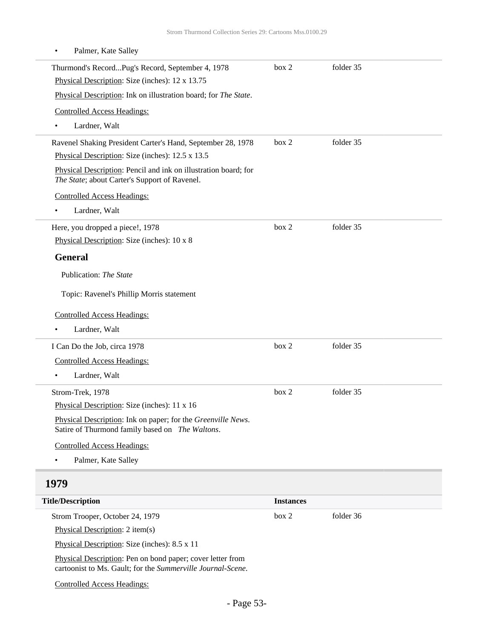• Palmer, Kate Salley Thurmond's Record...Pug's Record, September 4, 1978 Physical Description: Size (inches): 12 x 13.75 Physical Description: Ink on illustration board; for *The State*. Controlled Access Headings: Lardner, Walt box 2 folder 35 Ravenel Shaking President Carter's Hand, September 28, 1978 Physical Description: Size (inches): 12.5 x 13.5 Physical Description: Pencil and ink on illustration board; for *The State*; about Carter's Support of Ravenel. Controlled Access Headings: • Lardner, Walt box 2 folder 35 Here, you dropped a piece!, 1978 Physical Description: Size (inches): 10 x 8 **General** Publication: *The State* Topic: Ravenel's Phillip Morris statement Controlled Access Headings: • Lardner, Walt box 2 folder 35 I Can Do the Job, circa 1978 Controlled Access Headings: • Lardner, Walt box 2 folder 35 Strom-Trek, 1978 Physical Description: Size (inches): 11 x 16 Physical Description: Ink on paper; for the *Greenville News*. Satire of Thurmond family based on *The Waltons*. Controlled Access Headings: • Palmer, Kate Salley box 2 folder 35 **1979 Title/Description Instances** Strom Trooper, October 24, 1979 Physical Description: 2 item(s) Physical Description: Size (inches): 8.5 x 11 box 2 folder 36

<span id="page-52-0"></span>Physical Description: Pen on bond paper; cover letter from cartoonist to Ms. Gault; for the *Summerville Journal-Scene*.

Controlled Access Headings: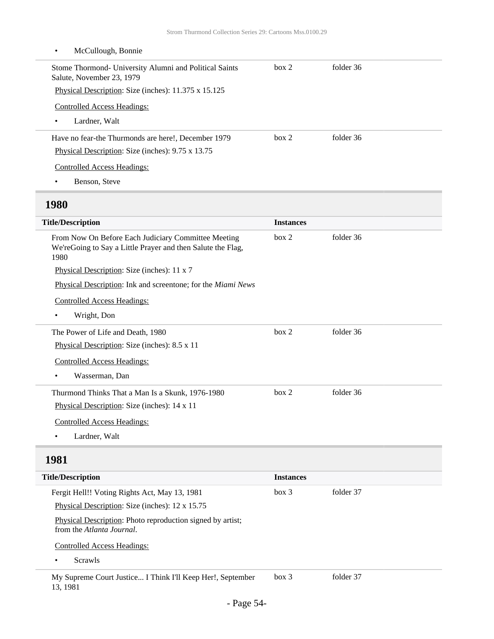<span id="page-53-1"></span><span id="page-53-0"></span>

| McCullough, Bonnie<br>$\bullet$                                                                                            |                  |           |  |
|----------------------------------------------------------------------------------------------------------------------------|------------------|-----------|--|
| Stome Thormond- University Alumni and Political Saints<br>Salute, November 23, 1979                                        | box 2            | folder 36 |  |
| Physical Description: Size (inches): 11.375 x 15.125                                                                       |                  |           |  |
| <b>Controlled Access Headings:</b>                                                                                         |                  |           |  |
| Lardner, Walt<br>$\bullet$                                                                                                 |                  |           |  |
| Have no fear-the Thurmonds are here!, December 1979                                                                        | box 2            | folder 36 |  |
| Physical Description: Size (inches): 9.75 x 13.75                                                                          |                  |           |  |
| <b>Controlled Access Headings:</b>                                                                                         |                  |           |  |
| Benson, Steve<br>$\bullet$                                                                                                 |                  |           |  |
| 1980                                                                                                                       |                  |           |  |
| <b>Title/Description</b>                                                                                                   | <b>Instances</b> |           |  |
| From Now On Before Each Judiciary Committee Meeting<br>We'reGoing to Say a Little Prayer and then Salute the Flag,<br>1980 | box 2            | folder 36 |  |
| Physical Description: Size (inches): 11 x 7                                                                                |                  |           |  |
| Physical Description: Ink and screentone; for the Miami News                                                               |                  |           |  |
| <b>Controlled Access Headings:</b>                                                                                         |                  |           |  |
| Wright, Don<br>$\bullet$                                                                                                   |                  |           |  |
| The Power of Life and Death, 1980                                                                                          | box 2            | folder 36 |  |
| Physical Description: Size (inches): 8.5 x 11                                                                              |                  |           |  |
| <b>Controlled Access Headings:</b>                                                                                         |                  |           |  |
| Wasserman, Dan<br>$\bullet$                                                                                                |                  |           |  |
| Thurmond Thinks That a Man Is a Skunk, 1976-1980                                                                           | box 2            | folder 36 |  |
| Physical Description: Size (inches): 14 x 11                                                                               |                  |           |  |
| <b>Controlled Access Headings:</b>                                                                                         |                  |           |  |
| Lardner, Walt<br>$\bullet$                                                                                                 |                  |           |  |
| 1981                                                                                                                       |                  |           |  |
| <b>Title/Description</b>                                                                                                   | <b>Instances</b> |           |  |
| Fergit Hell!! Voting Rights Act, May 13, 1981                                                                              | box 3            | folder 37 |  |
| Physical Description: Size (inches): 12 x 15.75                                                                            |                  |           |  |
| Physical Description: Photo reproduction signed by artist;<br>from the Atlanta Journal.                                    |                  |           |  |
| <b>Controlled Access Headings:</b>                                                                                         |                  |           |  |
| Scrawls<br>$\bullet$                                                                                                       |                  |           |  |
| My Supreme Court Justice I Think I'll Keep Her!, September<br>13, 1981                                                     | box 3            | folder 37 |  |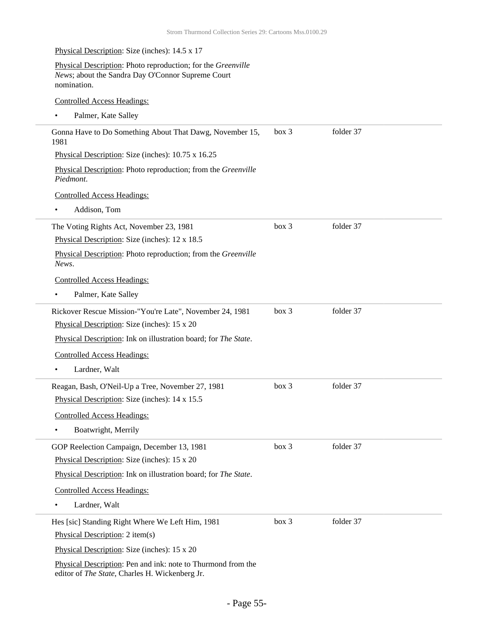### Physical Description: Size (inches): 14.5 x 17 Physical Description: Photo reproduction; for the *Greenville News*; about the Sandra Day O'Connor Supreme Court nomination. Controlled Access Headings: • Palmer, Kate Salley Gonna Have to Do Something About That Dawg, November 15, 1981 Physical Description: Size (inches): 10.75 x 16.25 Physical Description: Photo reproduction; from the *Greenville Piedmont*. Controlled Access Headings: • Addison, Tom box 3 folder 37 The Voting Rights Act, November 23, 1981 Physical Description: Size (inches): 12 x 18.5 Physical Description: Photo reproduction; from the *Greenville News*. Controlled Access Headings: • Palmer, Kate Salley box 3 folder 37 Rickover Rescue Mission-"You're Late", November 24, 1981 Physical Description: Size (inches): 15 x 20 Physical Description: Ink on illustration board; for *The State*. Controlled Access Headings: Lardner, Walt box 3 folder 37 Reagan, Bash, O'Neil-Up a Tree, November 27, 1981 Physical Description: Size (inches): 14 x 15.5 Controlled Access Headings: • Boatwright, Merrily box 3 folder 37 GOP Reelection Campaign, December 13, 1981 Physical Description: Size (inches): 15 x 20 Physical Description: Ink on illustration board; for *The State*. Controlled Access Headings: Lardner, Walt box 3 folder 37 Hes [sic] Standing Right Where We Left Him, 1981 Physical Description: 2 item(s) Physical Description: Size (inches): 15 x 20 Physical Description: Pen and ink: note to Thurmond from the editor of *The State*, Charles H. Wickenberg Jr. box 3 folder 37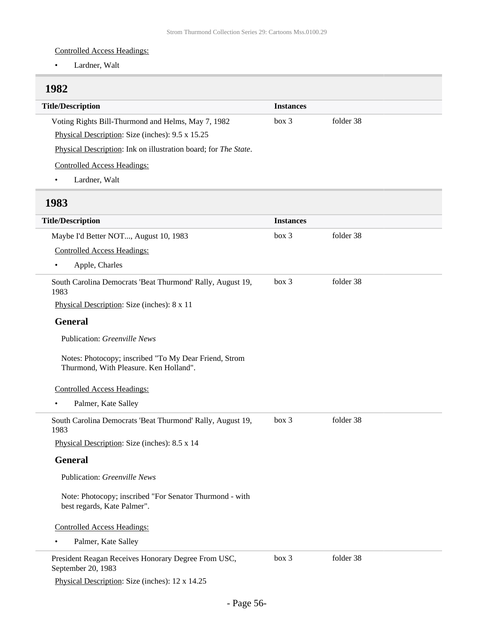#### Controlled Access Headings:

• Lardner, Walt

### <span id="page-55-0"></span>**1982**

<span id="page-55-1"></span>

| <b>Title/Description</b>                                                                        | <b>Instances</b> |           |
|-------------------------------------------------------------------------------------------------|------------------|-----------|
| Voting Rights Bill-Thurmond and Helms, May 7, 1982                                              | box 3            | folder 38 |
| Physical Description: Size (inches): 9.5 x 15.25                                                |                  |           |
| Physical Description: Ink on illustration board; for The State.                                 |                  |           |
| <b>Controlled Access Headings:</b>                                                              |                  |           |
| Lardner, Walt                                                                                   |                  |           |
| 1983                                                                                            |                  |           |
| <b>Title/Description</b>                                                                        | <b>Instances</b> |           |
| Maybe I'd Better NOT, August 10, 1983                                                           | box 3            | folder 38 |
| <b>Controlled Access Headings:</b>                                                              |                  |           |
| Apple, Charles<br>$\bullet$                                                                     |                  |           |
| South Carolina Democrats 'Beat Thurmond' Rally, August 19,<br>1983                              | box 3            | folder 38 |
| Physical Description: Size (inches): 8 x 11                                                     |                  |           |
| <b>General</b>                                                                                  |                  |           |
| Publication: Greenville News                                                                    |                  |           |
| Notes: Photocopy; inscribed "To My Dear Friend, Strom<br>Thurmond, With Pleasure. Ken Holland". |                  |           |
| <b>Controlled Access Headings:</b>                                                              |                  |           |
| Palmer, Kate Salley                                                                             |                  |           |
| South Carolina Democrats 'Beat Thurmond' Rally, August 19,<br>1983                              | box 3            | folder 38 |
| Physical Description: Size (inches): 8.5 x 14                                                   |                  |           |
| General                                                                                         |                  |           |
| Publication: Greenville News                                                                    |                  |           |
| Note: Photocopy; inscribed "For Senator Thurmond - with<br>best regards, Kate Palmer".          |                  |           |
| <b>Controlled Access Headings:</b>                                                              |                  |           |
| Palmer, Kate Salley<br>٠                                                                        |                  |           |
| President Reagan Receives Honorary Degree From USC,<br>September 20, 1983                       | box 3            | folder 38 |
| Physical Description: Size (inches): 12 x 14.25                                                 |                  |           |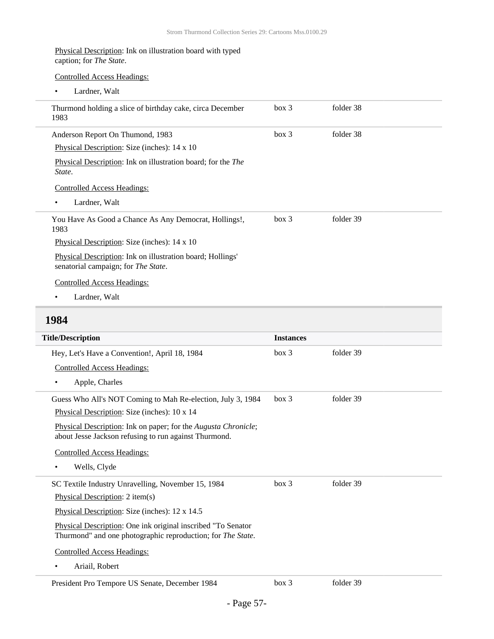| Physical Description: Ink on illustration board with typed<br>caption; for The State.             |       |           |  |
|---------------------------------------------------------------------------------------------------|-------|-----------|--|
| <b>Controlled Access Headings:</b>                                                                |       |           |  |
| Lardner, Walt<br>٠                                                                                |       |           |  |
| Thurmond holding a slice of birthday cake, circa December<br>1983                                 | box 3 | folder 38 |  |
| Anderson Report On Thumond, 1983                                                                  | box 3 | folder 38 |  |
| Physical Description: Size (inches): 14 x 10                                                      |       |           |  |
| Physical Description: Ink on illustration board; for the The<br>State.                            |       |           |  |
| <b>Controlled Access Headings:</b>                                                                |       |           |  |
| Lardner, Walt<br>٠                                                                                |       |           |  |
| You Have As Good a Chance As Any Democrat, Hollings!,<br>1983                                     | box 3 | folder 39 |  |
| Physical Description: Size (inches): 14 x 10                                                      |       |           |  |
| Physical Description: Ink on illustration board; Hollings'<br>senatorial campaign; for The State. |       |           |  |
| <b>Controlled Access Headings:</b>                                                                |       |           |  |
| Lardner, Walt<br>٠                                                                                |       |           |  |

## <span id="page-56-0"></span>**1984**

| <b>Title/Description</b>                                                                                                     | <b>Instances</b> |           |
|------------------------------------------------------------------------------------------------------------------------------|------------------|-----------|
| Hey, Let's Have a Convention!, April 18, 1984                                                                                | box 3            | folder 39 |
| <b>Controlled Access Headings:</b>                                                                                           |                  |           |
| Apple, Charles                                                                                                               |                  |           |
| Guess Who All's NOT Coming to Mah Re-election, July 3, 1984                                                                  | $h$ ox 3         | folder 39 |
| Physical Description: Size (inches): 10 x 14                                                                                 |                  |           |
| Physical Description: Ink on paper; for the Augusta Chronicle;<br>about Jesse Jackson refusing to run against Thurmond.      |                  |           |
| <b>Controlled Access Headings:</b>                                                                                           |                  |           |
| Wells, Clyde<br>٠                                                                                                            |                  |           |
| SC Textile Industry Unravelling, November 15, 1984                                                                           | box 3            | folder 39 |
| Physical Description: 2 item(s)                                                                                              |                  |           |
| Physical Description: Size (inches): 12 x 14.5                                                                               |                  |           |
| Physical Description: One ink original inscribed "To Senator"<br>Thurmond" and one photographic reproduction; for The State. |                  |           |
| <b>Controlled Access Headings:</b>                                                                                           |                  |           |
| Ariail, Robert                                                                                                               |                  |           |
| President Pro Tempore US Senate, December 1984                                                                               | box 3            | folder 39 |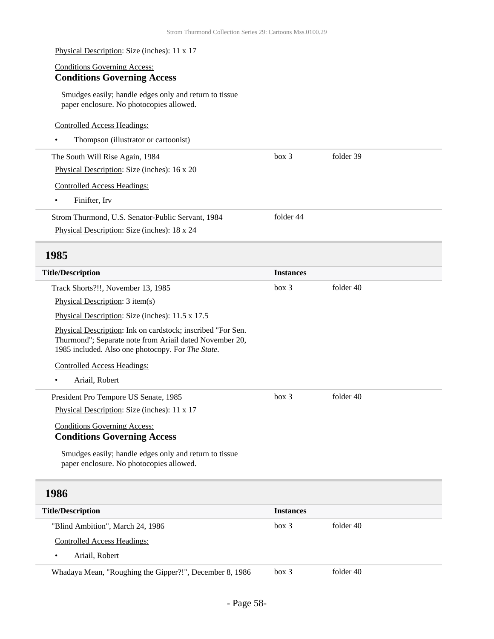| Physical Description: Size (inches): 11 x 17                                                                           |                  |           |  |
|------------------------------------------------------------------------------------------------------------------------|------------------|-----------|--|
| <b>Conditions Governing Access:</b><br><b>Conditions Governing Access</b>                                              |                  |           |  |
| Smudges easily; handle edges only and return to tissue<br>paper enclosure. No photocopies allowed.                     |                  |           |  |
| <b>Controlled Access Headings:</b><br>Thompson (illustrator or cartoonist)<br>$\bullet$                                |                  |           |  |
| The South Will Rise Again, 1984                                                                                        | box 3            | folder 39 |  |
| Physical Description: Size (inches): 16 x 20                                                                           |                  |           |  |
| <b>Controlled Access Headings:</b>                                                                                     |                  |           |  |
| Finifter, Irv<br>$\bullet$                                                                                             |                  |           |  |
| Strom Thurmond, U.S. Senator-Public Servant, 1984                                                                      | folder 44        |           |  |
| Physical Description: Size (inches): 18 x 24                                                                           |                  |           |  |
| 1985                                                                                                                   |                  |           |  |
| <b>Title/Description</b>                                                                                               | <b>Instances</b> |           |  |
| Track Shorts?!!, November 13, 1985                                                                                     | box 3            | folder 40 |  |
| Physical Description: 3 item(s)                                                                                        |                  |           |  |
| <b>Printed Printed Printed Printed Printed Printed Printed Printed Printed Printed Printed Printed Printed Printed</b> |                  |           |  |

Physical Description: Size (inches): 11.5 x 17.5

Physical Description: Ink on cardstock; inscribed "For Sen. Thurmond"; Separate note from Ariail dated November 20, 1985 included. Also one photocopy. For *The State*.

Controlled Access Headings:

• Ariail, Robert

President Pro Tempore US Senate, 1985

Physical Description: Size (inches): 11 x 17

Conditions Governing Access: **Conditions Governing Access**

Smudges easily; handle edges only and return to tissue paper enclosure. No photocopies allowed.

### <span id="page-57-0"></span>**1986**

I

| <b>Title/Description</b>                                | <b>Instances</b> |           |
|---------------------------------------------------------|------------------|-----------|
| "Blind Ambition", March 24, 1986                        | box 3            | folder 40 |
| <b>Controlled Access Headings:</b>                      |                  |           |
| Ariail, Robert                                          |                  |           |
| Whadaya Mean, "Roughing the Gipper?!", December 8, 1986 | box 3            | folder 40 |

box 3 folder 40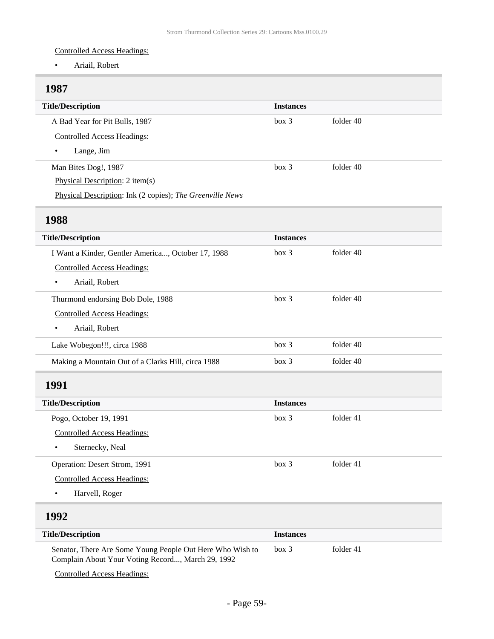#### Controlled Access Headings:

• Ariail, Robert

### <span id="page-58-0"></span>**1987**

<span id="page-58-1"></span>

| <b>Title/Description</b>                                                                                       | <b>Instances</b> |           |
|----------------------------------------------------------------------------------------------------------------|------------------|-----------|
| A Bad Year for Pit Bulls, 1987                                                                                 | box 3            | folder 40 |
| <b>Controlled Access Headings:</b>                                                                             |                  |           |
| Lange, Jim<br>$\bullet$                                                                                        |                  |           |
| Man Bites Dog!, 1987                                                                                           | box 3            | folder 40 |
| Physical Description: 2 item(s)                                                                                |                  |           |
| Physical Description: Ink (2 copies); The Greenville News                                                      |                  |           |
| 1988                                                                                                           |                  |           |
| <b>Title/Description</b>                                                                                       | <b>Instances</b> |           |
| I Want a Kinder, Gentler America, October 17, 1988                                                             | box 3            | folder 40 |
| <b>Controlled Access Headings:</b>                                                                             |                  |           |
| Ariail, Robert<br>$\bullet$                                                                                    |                  |           |
| Thurmond endorsing Bob Dole, 1988                                                                              | box 3            | folder 40 |
| <b>Controlled Access Headings:</b>                                                                             |                  |           |
| Ariail, Robert<br>$\bullet$                                                                                    |                  |           |
| Lake Wobegon!!!, circa 1988                                                                                    | box 3            | folder 40 |
| Making a Mountain Out of a Clarks Hill, circa 1988                                                             | box 3            | folder 40 |
| 1991                                                                                                           |                  |           |
| <b>Title/Description</b>                                                                                       | <b>Instances</b> |           |
| Pogo, October 19, 1991                                                                                         | box 3            | folder 41 |
| <b>Controlled Access Headings:</b>                                                                             |                  |           |
| Sternecky, Neal<br>$\bullet$                                                                                   |                  |           |
| Operation: Desert Strom, 1991                                                                                  | box 3            | folder 41 |
| <b>Controlled Access Headings:</b>                                                                             |                  |           |
| Harvell, Roger<br>$\bullet$                                                                                    |                  |           |
| 1992                                                                                                           |                  |           |
| <b>Title/Description</b>                                                                                       | <b>Instances</b> |           |
| Senator, There Are Some Young People Out Here Who Wish to<br>Complain About Your Voting Record, March 29, 1992 | box 3            | folder 41 |

<span id="page-58-2"></span>Controlled Access Headings: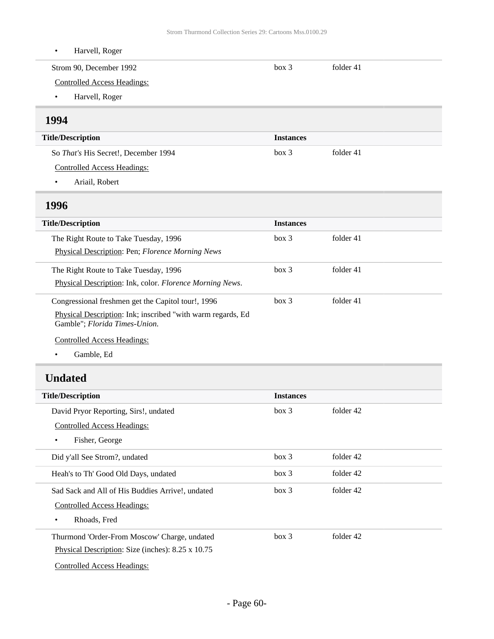• Harvell, Roger Strom 90, December 1992 box 3 folder 41

Controlled Access Headings:

• Harvell, Roger

### **1994**

| <b>Title/Description</b>                    | <i><u><b>Instances</b></u></i> |           |
|---------------------------------------------|--------------------------------|-----------|
| So <i>That's</i> His Secret!, December 1994 | box 3                          | folder 41 |
| <b>Controlled Access Headings:</b>          |                                |           |

• Ariail, Robert

### <span id="page-59-0"></span>**1996**

| <b>Title/Description</b>                                                                                                 | <b>Instances</b> |           |
|--------------------------------------------------------------------------------------------------------------------------|------------------|-----------|
| The Right Route to Take Tuesday, 1996<br><b>Physical Description: Pen; Florence Morning News</b>                         | box 3            | folder 41 |
| The Right Route to Take Tuesday, 1996<br>Physical Description: Ink, color. Florence Morning News.                        | box 3            | folder 41 |
| Congressional freshmen get the Capitol tour!, 1996<br><b>Physical Description:</b> Ink; inscribed "with warm regards, Ed | box 3            | folder 41 |

Gamble"; *Florida Times-Union*.

Controlled Access Headings:

• Gamble, Ed

### <span id="page-59-1"></span>**Undated**

| <b>Title/Description</b>                          | <b>Instances</b> |           |
|---------------------------------------------------|------------------|-----------|
| David Pryor Reporting, Sirs!, undated             | box 3            | folder 42 |
| Controlled Access Headings:                       |                  |           |
| Fisher, George<br>$\bullet$                       |                  |           |
| Did y'all See Strom?, undated                     | box 3            | folder 42 |
| Heah's to Th' Good Old Days, undated              | box 3            | folder 42 |
| Sad Sack and All of His Buddies Arrive!, undated  | box 3            | folder 42 |
| <b>Controlled Access Headings:</b>                |                  |           |
| Rhoads, Fred<br>$\bullet$                         |                  |           |
| Thurmond 'Order-From Moscow' Charge, undated      | box 3            | folder 42 |
| Physical Description: Size (inches): 8.25 x 10.75 |                  |           |
| Controlled Access Headings:                       |                  |           |